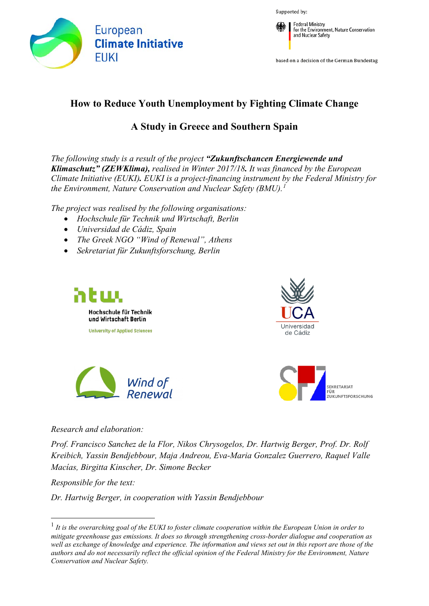

Supported by:



based on a decision of the German Bundestag

# **How to Reduce Youth Unemployment by Fighting Climate Change**

# **A Study in Greece and Southern Spain**

*The following study is a result of the project "Zukunftschancen Energiewende und Klimaschutz" (ZEWKlima), realised in Winter 2017/18. It was financed by the European Climate Initiative (EUKI). EUKI is a project-financing instrument by the Federal Ministry for the Environment, Nature Conservation and Nuclear Safety (BMU).[1](#page-0-0)*

*The project was realised by the following organisations:*

- *Hochschule für Technik und Wirtschaft, Berlin*
- *Universidad de Cádiz, Spain*
- *The Greek NGO "Wind of Renewal", Athens*

Wind of

• *Sekretariat für Zukunftsforschung, Berlin*







*Research and elaboration:*

*Prof. Francisco Sanchez de la Flor, Nikos Chrysogelos, Dr. Hartwig Berger, Prof. Dr. Rolf Kreibich, Yassin Bendjebbour, Maja Andreou, Eva-Maria Gonzalez Guerrero, Raquel Valle Macías, Birgitta Kinscher, Dr. Simone Becker*

*Responsible for the text:* 

*Dr. Hartwig Berger, in cooperation with Yassin Bendjebbour*

<span id="page-0-0"></span> <sup>1</sup> *It is the overarching goal of the EUKI to foster climate cooperation within the European Union in order to mitigate greenhouse gas emissions. It does so through strengthening cross-border dialogue and cooperation as well as exchange of knowledge and experience. The information and views set out in this report are those of the authors and do not necessarily reflect the official opinion of the Federal Ministry for the Environment, Nature Conservation and Nuclear Safety.*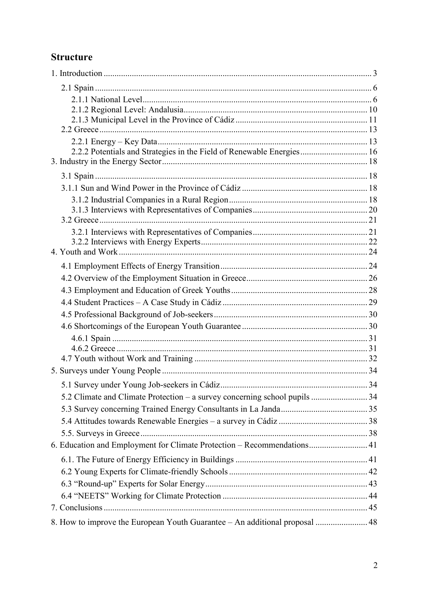# **Structure**

| 2.2.2 Potentials and Strategies in the Field of Renewable Energies 16       |  |
|-----------------------------------------------------------------------------|--|
|                                                                             |  |
|                                                                             |  |
|                                                                             |  |
|                                                                             |  |
|                                                                             |  |
|                                                                             |  |
|                                                                             |  |
|                                                                             |  |
|                                                                             |  |
|                                                                             |  |
|                                                                             |  |
|                                                                             |  |
|                                                                             |  |
|                                                                             |  |
|                                                                             |  |
|                                                                             |  |
|                                                                             |  |
|                                                                             |  |
|                                                                             |  |
|                                                                             |  |
|                                                                             |  |
|                                                                             |  |
|                                                                             |  |
| 6. Education and Employment for Climate Protection - Recommendations 41     |  |
|                                                                             |  |
|                                                                             |  |
|                                                                             |  |
|                                                                             |  |
|                                                                             |  |
| 8. How to improve the European Youth Guarantee - An additional proposal  48 |  |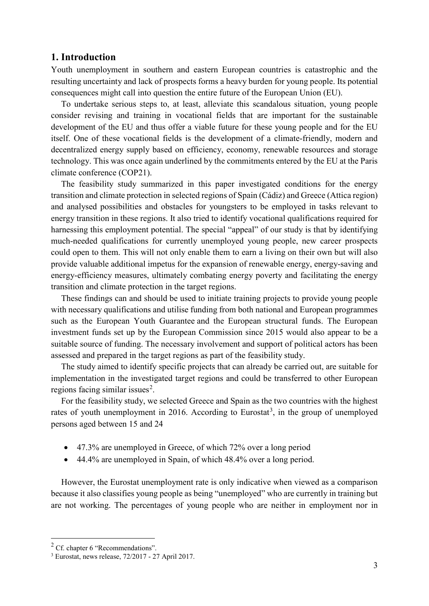#### <span id="page-2-0"></span>**1. Introduction**

Youth unemployment in southern and eastern European countries is catastrophic and the resulting uncertainty and lack of prospects forms a heavy burden for young people. Its potential consequences might call into question the entire future of the European Union (EU).

To undertake serious steps to, at least, alleviate this scandalous situation, young people consider revising and training in vocational fields that are important for the sustainable development of the EU and thus offer a viable future for these young people and for the EU itself. One of these vocational fields is the development of a climate-friendly, modern and decentralized energy supply based on efficiency, economy, renewable resources and storage technology. This was once again underlined by the commitments entered by the EU at the Paris climate conference (COP21).

The feasibility study summarized in this paper investigated conditions for the energy transition and climate protection in selected regions of Spain (Cádiz) and Greece (Attica region) and analysed possibilities and obstacles for youngsters to be employed in tasks relevant to energy transition in these regions. It also tried to identify vocational qualifications required for harnessing this employment potential. The special "appeal" of our study is that by identifying much-needed qualifications for currently unemployed young people, new career prospects could open to them. This will not only enable them to earn a living on their own but will also provide valuable additional impetus for the expansion of renewable energy, energy-saving and energy-efficiency measures, ultimately combating energy poverty and facilitating the energy transition and climate protection in the target regions.

These findings can and should be used to initiate training projects to provide young people with necessary qualifications and utilise funding from both national and European programmes such as the European Youth Guarantee and the European structural funds. The European investment funds set up by the European Commission since 2015 would also appear to be a suitable source of funding. The necessary involvement and support of political actors has been assessed and prepared in the target regions as part of the feasibility study.

The study aimed to identify specific projects that can already be carried out, are suitable for implementation in the investigated target regions and could be transferred to other European regions facing similar issues<sup>[2](#page-2-1)</sup>.

For the feasibility study, we selected Greece and Spain as the two countries with the highest rates of youth unemployment in 2016. According to Eurostat<sup>[3](#page-2-2)</sup>, in the group of unemployed persons aged between 15 and 24

- 47.3% are unemployed in Greece, of which 72% over a long period
- 44.4% are unemployed in Spain, of which 48.4% over a long period.

However, the Eurostat unemployment rate is only indicative when viewed as a comparison because it also classifies young people as being "unemployed" who are currently in training but are not working. The percentages of young people who are neither in employment nor in

<span id="page-2-1"></span> <sup>2</sup> Cf. chapter 6 "Recommendations".

<span id="page-2-2"></span><sup>3</sup> Eurostat, news release, 72/2017 - 27 April 2017.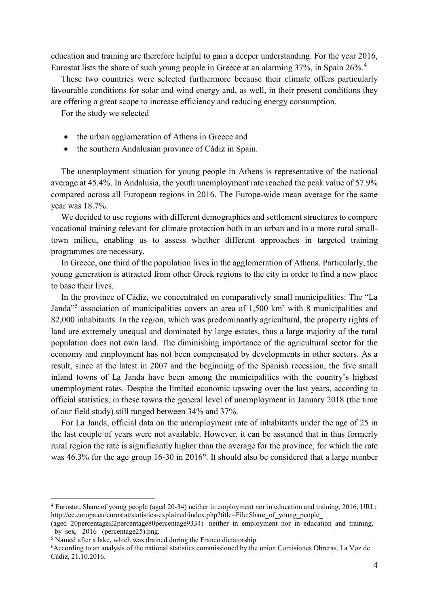education and training are therefore helpful to gain a deeper understanding. For the year 2016, Eurostat lists the share of such young people in Greece at an alarming 37%, in Spain 26%.[4](#page-3-0)

These two countries were selected furthermore because their climate offers particularly favourable conditions for solar and wind energy and, as well, in their present conditions they are offering a great scope to increase efficiency and reducing energy consumption.

For the study we selected

- the urban agglomeration of Athens in Greece and
- the southern Andalusian province of Cádiz in Spain.

The unemployment situation for young people in Athens is representative of the national average at 45.4%. In Andalusia, the youth unemployment rate reached the peak value of 57.9% compared across all European regions in 2016. The Europe-wide mean average for the same year was 18.7%.

We decided to use regions with different demographics and settlement structures to compare vocational training relevant for climate protection both in an urban and in a more rural smalltown milieu, enabling us to assess whether different approaches in targeted training programmes are necessary.

In Greece, one third of the population lives in the agglomeration of Athens. Particularly, the young generation is attracted from other Greek regions to the city in order to find a new place to base their lives.

In the province of Cádiz, we concentrated on comparatively small municipalities: The "La Janda<sup>"[5](#page-3-1)</sup> association of municipalities covers an area of 1,500 km<sup>2</sup> with 8 municipalities and 82,000 inhabitants. In the region, which was predominantly agricultural, the property rights of land are extremely unequal and dominated by large estates, thus a large majority of the rural population does not own land. The diminishing importance of the agricultural sector for the economy and employment has not been compensated by developments in other sectors. As a result, since at the latest in 2007 and the beginning of the Spanish recession, the five small inland towns of La Janda have been among the municipalities with the country's highest unemployment rates. Despite the limited economic upswing over the last years, according to official statistics, in these towns the general level of unemployment in January 2018 (the time of our field study) still ranged between 34% and 37%.

For La Janda, official data on the unemployment rate of inhabitants under the age of 25 in the last couple of years were not available. However, it can be assumed that in thus formerly rural region the rate is significantly higher than the average for the province, for which the rate was 4[6](#page-3-2).3% for the age group 16-30 in 2016<sup>6</sup>. It should also be considered that a large number

<span id="page-3-0"></span> <sup>4</sup> Eurostat, Share of young people (aged 20-34) neither in employment nor in education and training, 2016, URL: http://ec.europa.eu/eurostat/statistics-explained/index.php?title=File:Share\_of\_young\_people

<sup>(</sup>aged\_20percentageE2percentage80percentage9334) neither in employment nor in education and training,  $\frac{1}{2}$ by\_sex,  $\frac{2016}{20}$  (percentage25).png.

<span id="page-3-1"></span> $\overline{5}$  Named after a lake, which was drained during the Franco dictatorship.

<span id="page-3-2"></span><sup>6</sup> According to an analysis of the national statistics commissioned by the union Comisiones Obreras. La Voz de Cádiz, 21.10.2016.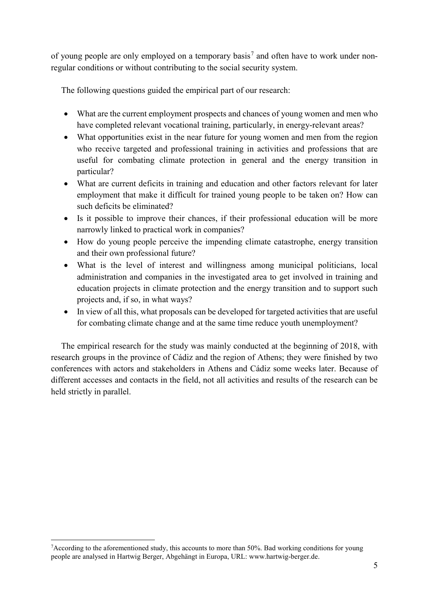of young people are only employed on a temporary basis<sup>[7](#page-4-0)</sup> and often have to work under nonregular conditions or without contributing to the social security system.

The following questions guided the empirical part of our research:

- What are the current employment prospects and chances of young women and men who have completed relevant vocational training, particularly, in energy-relevant areas?
- What opportunities exist in the near future for young women and men from the region who receive targeted and professional training in activities and professions that are useful for combating climate protection in general and the energy transition in particular?
- What are current deficits in training and education and other factors relevant for later employment that make it difficult for trained young people to be taken on? How can such deficits be eliminated?
- Is it possible to improve their chances, if their professional education will be more narrowly linked to practical work in companies?
- How do young people perceive the impending climate catastrophe, energy transition and their own professional future?
- What is the level of interest and willingness among municipal politicians, local administration and companies in the investigated area to get involved in training and education projects in climate protection and the energy transition and to support such projects and, if so, in what ways?
- In view of all this, what proposals can be developed for targeted activities that are useful for combating climate change and at the same time reduce youth unemployment?

The empirical research for the study was mainly conducted at the beginning of 2018, with research groups in the province of Cádiz and the region of Athens; they were finished by two conferences with actors and stakeholders in Athens and Cádiz some weeks later. Because of different accesses and contacts in the field, not all activities and results of the research can be held strictly in parallel.

<span id="page-4-0"></span>ا<br>7 According to the aforementioned study, this accounts to more than 50%. Bad working conditions for young people are analysed in Hartwig Berger, Abgehängt in Europa, URL: www.hartwig-berger.de.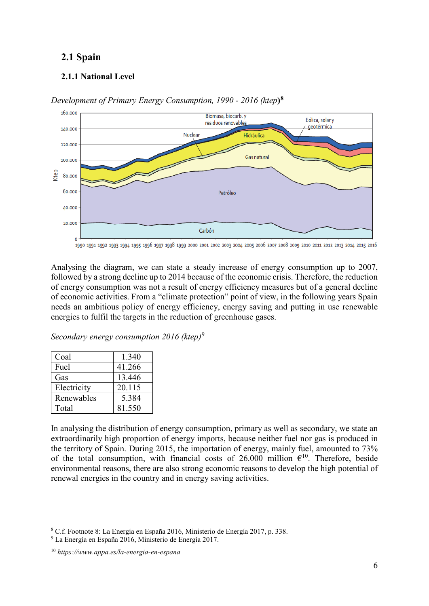# <span id="page-5-0"></span>**2.1 Spain**

## <span id="page-5-1"></span>**2.1.1 National Level**



*Development of Primary Energy Consumption, 1990 - 2016 (ktep***)[8](#page-5-2)**

1990 1991 1992 1993 1994 1995 1996 1997 1998 1999 2000 2001 2002 2003 2004 2005 2006 2007 2008 2009 2010 2011 2012 2013 2014 2015 2016

Analysing the diagram, we can state a steady increase of energy consumption up to 2007, followed by a strong decline up to 2014 because of the economic crisis. Therefore, the reduction of energy consumption was not a result of energy efficiency measures but of a general decline of economic activities. From a "climate protection" point of view, in the following years Spain needs an ambitious policy of energy efficiency, energy saving and putting in use renewable energies to fulfil the targets in the reduction of greenhouse gases.

*Secondary energy consumption 2016 (ktep)*[9](#page-5-3)

| Coal        | 1.340  |
|-------------|--------|
| Fuel        | 41.266 |
| Gas         | 13.446 |
| Electricity | 20.115 |
| Renewables  | 5.384  |
| Total       | 81.550 |

In analysing the distribution of energy consumption, primary as well as secondary, we state an extraordinarily high proportion of energy imports, because neither fuel nor gas is produced in the territory of Spain. During 2015, the importation of energy, mainly fuel, amounted to 73% of the total consumption, with financial costs of 26.000 million  $\epsilon^{10}$  $\epsilon^{10}$  $\epsilon^{10}$ . Therefore, beside environmental reasons, there are also strong economic reasons to develop the high potential of renewal energies in the country and in energy saving activities.

 <sup>8</sup> C.f. Footnote 8: La Energía en España 2016, Ministerio de Energía 2017, p. 338.

<span id="page-5-3"></span><span id="page-5-2"></span><sup>9</sup> La Energía en España 2016, Ministerio de Energía 2017.

<span id="page-5-4"></span><sup>10</sup> *https://www.appa.es/la-energia-en-espana*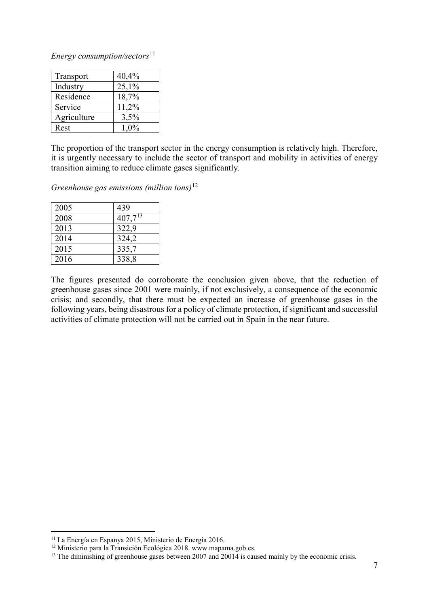*Energy consumption/sectors*<sup>[11](#page-6-0)</sup>

| Transport   | 40,4%   |
|-------------|---------|
| Industry    | 25,1%   |
| Residence   | 18,7%   |
| Service     | 11,2%   |
| Agriculture | 3,5%    |
| Rest        | $1.0\%$ |

The proportion of the transport sector in the energy consumption is relatively high. Therefore, it is urgently necessary to include the sector of transport and mobility in activities of energy transition aiming to reduce climate gases significantly.

*Greenhouse gas emissions (million tons)* [12](#page-6-1)

| 2005 | 439          |
|------|--------------|
| 2008 | $407,7^{13}$ |
| 2013 | 322,9        |
| 2014 | 324,2        |
| 2015 | 335,7        |
| 2016 | 338,8        |

The figures presented do corroborate the conclusion given above, that the reduction of greenhouse gases since 2001 were mainly, if not exclusively, a consequence of the economic crisis; and secondly, that there must be expected an increase of greenhouse gases in the following years, being disastrous for a policy of climate protection, if significant and successful activities of climate protection will not be carried out in Spain in the near future.

<span id="page-6-0"></span> <sup>11</sup> La Energía en Espanya 2015, Ministerio de Energía 2016.

<span id="page-6-1"></span><sup>12</sup> Ministerio para la Transición Ecológica 2018. www.mapama.gob.es.

<span id="page-6-2"></span><sup>&</sup>lt;sup>13</sup> The diminishing of greenhouse gases between 2007 and 20014 is caused mainly by the economic crisis.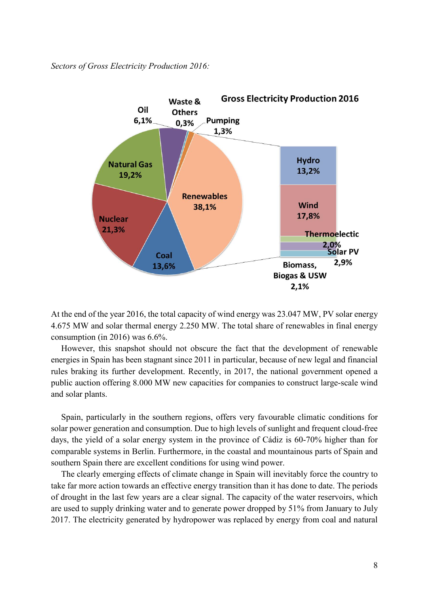#### *Sectors of Gross Electricity Production 2016:*



At the end of the year 2016, the total capacity of wind energy was 23.047 MW, PV solar energy 4.675 MW and solar thermal energy 2.250 MW. The total share of renewables in final energy consumption (in 2016) was 6.6%.

However, this snapshot should not obscure the fact that the development of renewable energies in Spain has been stagnant since 2011 in particular, because of new legal and financial rules braking its further development. Recently, in 2017, the national government opened a public auction offering 8.000 MW new capacities for companies to construct large-scale wind and solar plants.

Spain, particularly in the southern regions, offers very favourable climatic conditions for solar power generation and consumption. Due to high levels of sunlight and frequent cloud-free days, the yield of a solar energy system in the province of Cádiz is 60-70% higher than for comparable systems in Berlin. Furthermore, in the coastal and mountainous parts of Spain and southern Spain there are excellent conditions for using wind power.

The clearly emerging effects of climate change in Spain will inevitably force the country to take far more action towards an effective energy transition than it has done to date. The periods of drought in the last few years are a clear signal. The capacity of the water reservoirs, which are used to supply drinking water and to generate power dropped by 51% from January to July 2017. The electricity generated by hydropower was replaced by energy from coal and natural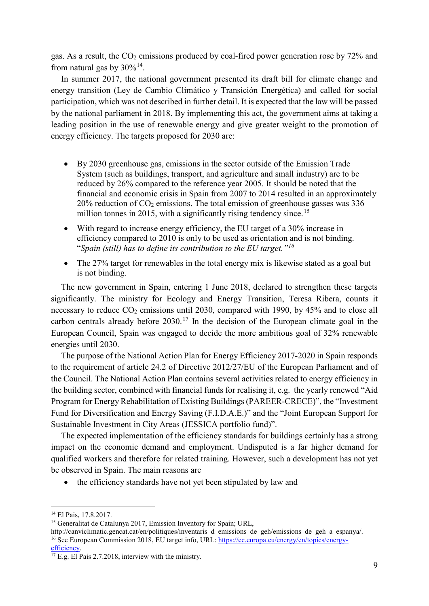gas. As a result, the  $CO<sub>2</sub>$  emissions produced by coal-fired power generation rose by 72% and from natural gas by  $30\%^{14}$  $30\%^{14}$  $30\%^{14}$ .

In summer 2017, the national government presented its draft bill for climate change and energy transition (Ley de Cambio Climático y Transición Energética) and called for social participation, which was not described in further detail. It is expected that the law will be passed by the national parliament in 2018. By implementing this act, the government aims at taking a leading position in the use of renewable energy and give greater weight to the promotion of energy efficiency. The targets proposed for 2030 are:

- By 2030 greenhouse gas, emissions in the sector outside of the Emission Trade System (such as buildings, transport, and agriculture and small industry) are to be reduced by 26% compared to the reference year 2005. It should be noted that the financial and economic crisis in Spain from 2007 to 2014 resulted in an approximately 20% reduction of  $CO<sub>2</sub>$  emissions. The total emission of greenhouse gasses was 336 million tonnes in 20[15](#page-8-1), with a significantly rising tendency since.<sup>15</sup>
- With regard to increase energy efficiency, the EU target of a 30% increase in efficiency compared to 2010 is only to be used as orientation and is not binding. "*Spain (still) has to define its contribution to the EU target."[16](#page-8-2)*
- The 27% target for renewables in the total energy mix is likewise stated as a goal but is not binding.

The new government in Spain, entering 1 June 2018, declared to strengthen these targets significantly. The ministry for Ecology and Energy Transition, Teresa Ribera, counts it necessary to reduce  $CO_2$  emissions until 2030, compared with 1990, by 45% and to close all carbon centrals already before  $2030$ <sup>[17](#page-8-3)</sup>. In the decision of the European climate goal in the European Council, Spain was engaged to decide the more ambitious goal of 32% renewable energies until 2030.

The purpose of the National Action Plan for Energy Efficiency 2017-2020 in Spain responds to the requirement of article 24.2 of Directive 2012/27/EU of the European Parliament and of the Council. The National Action Plan contains several activities related to energy efficiency in the building sector, combined with financial funds for realising it, e.g. the yearly renewed "Aid Program for Energy Rehabilitation of Existing Buildings (PAREER-CRECE)", the "Investment Fund for Diversification and Energy Saving (F.I.D.A.E.)" and the "Joint European Support for Sustainable Investment in City Areas (JESSICA portfolio fund)".

The expected implementation of the efficiency standards for buildings certainly has a strong impact on the economic demand and employment. Undisputed is a far higher demand for qualified workers and therefore for related training. However, such a development has not yet be observed in Spain. The main reasons are

• the efficiency standards have not yet been stipulated by law and

<span id="page-8-0"></span> <sup>14</sup> El Pais, 17.8.2017.

<span id="page-8-1"></span><sup>&</sup>lt;sup>15</sup> Generalitat de Catalunya 2017, Emission Inventory for Spain; URL,

<span id="page-8-2"></span>http://canviclimatic.gencat.cat/en/politiques/inventaris d emissions de geh/emissions de geh a espanya/. <sup>16</sup> See European Commission 2018, EU target info, URL: https://ec.europa.eu/energy/en/topics/energy-<br>efficiency.

<span id="page-8-3"></span> $^{17}$  E.g. El Pais 2.7.2018, interview with the ministry.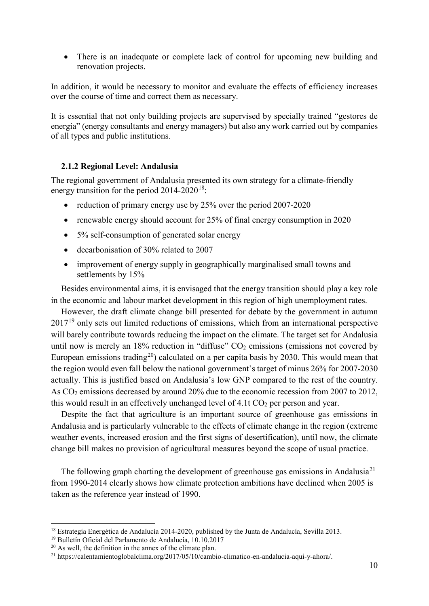• There is an inadequate or complete lack of control for upcoming new building and renovation projects.

In addition, it would be necessary to monitor and evaluate the effects of efficiency increases over the course of time and correct them as necessary.

It is essential that not only building projects are supervised by specially trained "gestores de energía" (energy consultants and energy managers) but also any work carried out by companies of all types and public institutions.

#### <span id="page-9-0"></span>**2.1.2 Regional Level: Andalusia**

The regional government of Andalusia presented its own strategy for a climate-friendly energy transition for the period  $2014-2020^{18}$ .

- reduction of primary energy use by 25% over the period 2007-2020
- renewable energy should account for 25% of final energy consumption in 2020
- 5% self-consumption of generated solar energy
- decarbonisation of 30% related to 2007
- improvement of energy supply in geographically marginalised small towns and settlements by 15%

Besides environmental aims, it is envisaged that the energy transition should play a key role in the economic and labour market development in this region of high unemployment rates.

However, the draft climate change bill presented for debate by the government in autumn 2017<sup>[19](#page-9-2)</sup> only sets out limited reductions of emissions, which from an international perspective will barely contribute towards reducing the impact on the climate. The target set for Andalusia until now is merely an  $18\%$  reduction in "diffuse"  $CO<sub>2</sub>$  emissions (emissions not covered by European emissions trading<sup>[20](#page-9-3)</sup>) calculated on a per capita basis by 2030. This would mean that the region would even fall below the national government's target of minus 26% for 2007-2030 actually. This is justified based on Andalusia's low GNP compared to the rest of the country. As CO<sub>2</sub> emissions decreased by around 20% due to the economic recession from 2007 to 2012, this would result in an effectively unchanged level of  $4.1t \text{ CO}_2$  per person and year.

Despite the fact that agriculture is an important source of greenhouse gas emissions in Andalusia and is particularly vulnerable to the effects of climate change in the region (extreme weather events, increased erosion and the first signs of desertification), until now, the climate change bill makes no provision of agricultural measures beyond the scope of usual practice.

The following graph charting the development of greenhouse gas emissions in Andalusia<sup>[21](#page-9-4)</sup> from 1990-2014 clearly shows how climate protection ambitions have declined when 2005 is taken as the reference year instead of 1990.

<span id="page-9-1"></span><sup>&</sup>lt;sup>18</sup> Estrategía Energética de Andalucía 2014-2020, published by the Junta de Andalucía, Sevilla 2013.

<span id="page-9-2"></span><sup>19</sup> Bulletín Oficial del Parlamento de Andalucía, 10.10.2017

<span id="page-9-3"></span> $20$  As well, the definition in the annex of the climate plan.

<span id="page-9-4"></span><sup>21</sup> https://calentamientoglobalclima.org/2017/05/10/cambio-climatico-en-andalucia-aqui-y-ahora/.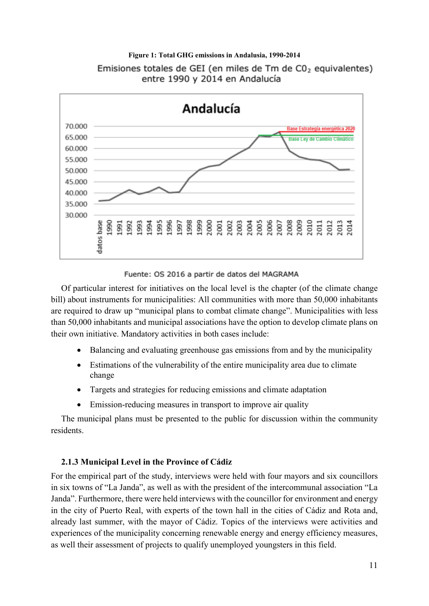

# **Figure 1: Total GHG emissions in Andalusia, 1990-2014** Emisiones totales de GEI (en miles de Tm de C0<sub>2</sub> equivalentes)

#### Fuente: OS 2016 a partir de datos del MAGRAMA

Of particular interest for initiatives on the local level is the chapter (of the climate change bill) about instruments for municipalities: All communities with more than 50,000 inhabitants are required to draw up "municipal plans to combat climate change". Municipalities with less than 50,000 inhabitants and municipal associations have the option to develop climate plans on their own initiative. Mandatory activities in both cases include:

- Balancing and evaluating greenhouse gas emissions from and by the municipality
- Estimations of the vulnerability of the entire municipality area due to climate change
- Targets and strategies for reducing emissions and climate adaptation
- Emission-reducing measures in transport to improve air quality

The municipal plans must be presented to the public for discussion within the community residents.

#### <span id="page-10-0"></span>**2.1.3 Municipal Level in the Province of Cádiz**

For the empirical part of the study, interviews were held with four mayors and six councillors in six towns of "La Janda", as well as with the president of the intercommunal association "La Janda". Furthermore, there were held interviews with the councillor for environment and energy in the city of Puerto Real, with experts of the town hall in the cities of Cádiz and Rota and, already last summer, with the mayor of Cádiz. Topics of the interviews were activities and experiences of the municipality concerning renewable energy and energy efficiency measures, as well their assessment of projects to qualify unemployed youngsters in this field.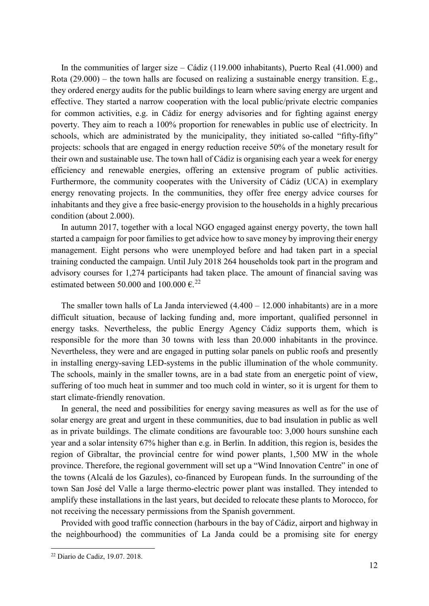In the communities of larger size – Cádiz (119.000 inhabitants), Puerto Real (41.000) and Rota (29.000) – the town halls are focused on realizing a sustainable energy transition. E.g., they ordered energy audits for the public buildings to learn where saving energy are urgent and effective. They started a narrow cooperation with the local public/private electric companies for common activities, e.g. in Cádiz for energy advisories and for fighting against energy poverty. They aim to reach a 100% proportion for renewables in public use of electricity. In schools, which are administrated by the municipality, they initiated so-called "fifty-fifty" projects: schools that are engaged in energy reduction receive 50% of the monetary result for their own and sustainable use. The town hall of Cádiz is organising each year a week for energy efficiency and renewable energies, offering an extensive program of public activities. Furthermore, the community cooperates with the University of Cádiz (UCA) in exemplary energy renovating projects. In the communities, they offer free energy advice courses for inhabitants and they give a free basic-energy provision to the households in a highly precarious condition (about 2.000).

In autumn 2017, together with a local NGO engaged against energy poverty, the town hall started a campaign for poor families to get advice how to save money by improving their energy management. Eight persons who were unemployed before and had taken part in a special training conducted the campaign. Until July 2018 264 households took part in the program and advisory courses for 1,274 participants had taken place. The amount of financial saving was estimated between 50,000 and 100,000  $\epsilon^{22}$  $\epsilon^{22}$  $\epsilon^{22}$ 

The smaller town halls of La Janda interviewed  $(4.400 - 12.000)$  inhabitants) are in a more difficult situation, because of lacking funding and, more important, qualified personnel in energy tasks. Nevertheless, the public Energy Agency Cádiz supports them, which is responsible for the more than 30 towns with less than 20.000 inhabitants in the province. Nevertheless, they were and are engaged in putting solar panels on public roofs and presently in installing energy-saving LED-systems in the public illumination of the whole community. The schools, mainly in the smaller towns, are in a bad state from an energetic point of view, suffering of too much heat in summer and too much cold in winter, so it is urgent for them to start climate-friendly renovation.

In general, the need and possibilities for energy saving measures as well as for the use of solar energy are great and urgent in these communities, due to bad insulation in public as well as in private buildings. The climate conditions are favourable too: 3,000 hours sunshine each year and a solar intensity 67% higher than e.g. in Berlin. In addition, this region is, besides the region of Gibraltar, the provincial centre for wind power plants, 1,500 MW in the whole province. Therefore, the regional government will set up a "Wind Innovation Centre" in one of the towns (Alcalá de los Gazules), co-financed by European funds. In the surrounding of the town San José del Valle a large thermo-electric power plant was installed. They intended to amplify these installations in the last years, but decided to relocate these plants to Morocco, for not receiving the necessary permissions from the Spanish government.

Provided with good traffic connection (harbours in the bay of Cádiz, airport and highway in the neighbourhood) the communities of La Janda could be a promising site for energy

<span id="page-11-0"></span> <sup>22</sup> Diario de Cadiz, 19.07. 2018.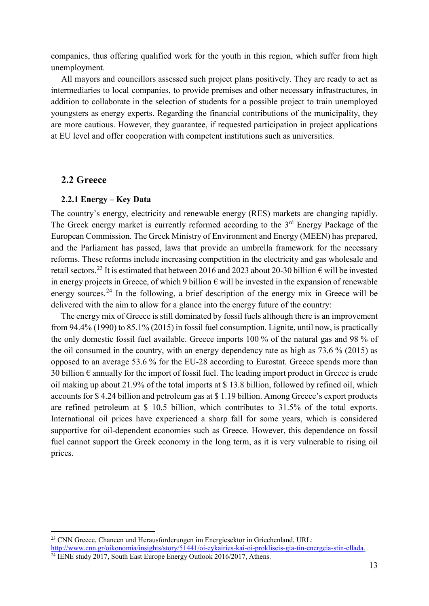companies, thus offering qualified work for the youth in this region, which suffer from high unemployment.

All mayors and councillors assessed such project plans positively. They are ready to act as intermediaries to local companies, to provide premises and other necessary infrastructures, in addition to collaborate in the selection of students for a possible project to train unemployed youngsters as energy experts. Regarding the financial contributions of the municipality, they are more cautious. However, they guarantee, if requested participation in project applications at EU level and offer cooperation with competent institutions such as universities.

#### <span id="page-12-0"></span>**2.2 Greece**

#### <span id="page-12-1"></span>**2.2.1 Energy – Key Data**

The country's energy, electricity and renewable energy (RES) markets are changing rapidly. The Greek energy market is currently reformed according to the 3<sup>rd</sup> Energy Package of the European Commission. The Greek Ministry of Environment and Energy (MEEN) has prepared, and the Parliament has passed, laws that provide an umbrella framework for the necessary reforms. These reforms include increasing competition in the electricity and gas wholesale and retail sectors.<sup>[23](#page-12-2)</sup> It is estimated that between 2016 and 2023 about 20-30 billion  $\epsilon$  will be invested in energy projects in Greece, of which 9 billion  $\epsilon$  will be invested in the expansion of renewable energy sources.<sup>[24](#page-12-3)</sup> In the following, a brief description of the energy mix in Greece will be delivered with the aim to allow for a glance into the energy future of the country:

The energy mix of Greece is still dominated by fossil fuels although there is an improvement from 94.4% (1990) to 85.1% (2015) in fossil fuel consumption. Lignite, until now, is practically the only domestic fossil fuel available. Greece imports 100 % of the natural gas and 98 % of the oil consumed in the country, with an energy dependency rate as high as 73.6 % (2015) as opposed to an average 53.6 % for the EU-28 according to Eurostat. Greece spends more than 30 billion  $\epsilon$  annually for the import of fossil fuel. The leading import product in Greece is crude oil making up about 21.9% of the total imports at \$ 13.8 billion, followed by refined oil, which accounts for \$ 4.24 billion and petroleum gas at \$ 1.19 billion. Among Greece's export products are refined petroleum at \$ 10.5 billion, which contributes to 31.5% of the total exports. International oil prices have experienced a sharp fall for some years, which is considered supportive for oil-dependent economies such as Greece. However, this dependence on fossil fuel cannot support the Greek economy in the long term, as it is very vulnerable to rising oil prices.

<span id="page-12-3"></span><span id="page-12-2"></span><sup>&</sup>lt;sup>23</sup> CNN Greece, Chancen und Herausforderungen im Energiesektor in Griechenland, URL: [http://www.cnn.gr/oikonomia/insights/story/51441/oi-eykairies-kai-oi-prokliseis-gia-tin-energeia-stin-ellada.](http://www.cnn.gr/oikonomia/insights/story/51441/oi-eykairies-kai-oi-prokliseis-gia-tin-energeia-stin-ellada) <sup>24</sup> IENE study 2017, South East Europe Energy Outlook 2016/2017, Athens.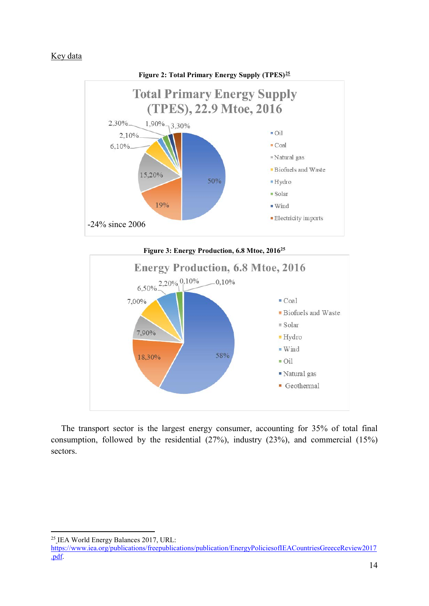#### Key data





The transport sector is the largest energy consumer, accounting for 35% of total final consumption, followed by the residential (27%), industry (23%), and commercial (15%) sectors.

 <sup>25</sup> IEA World Energy Balances 2017, URL:

<span id="page-13-0"></span>[https://www.iea.org/publications/freepublications/publication/EnergyPoliciesofIEACountriesGreeceReview2017](https://www.iea.org/publications/freepublications/publication/EnergyPoliciesofIEACountriesGreeceReview2017.pdf) [.pdf.](https://www.iea.org/publications/freepublications/publication/EnergyPoliciesofIEACountriesGreeceReview2017.pdf)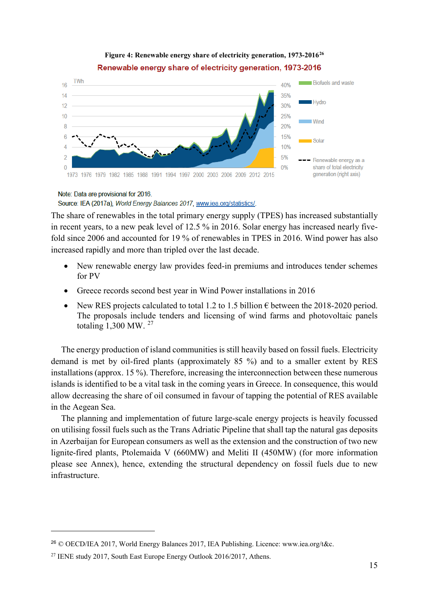#### **Figure 4: Renewable energy share of electricity generation, 1973-2016[26](#page-14-0)** Renewable energy share of electricity generation, 1973-2016



#### Note: Data are provisional for 2016.

#### Source: IEA (2017a), World Energy Balances 2017, www.iea.org/statistics/.

The share of renewables in the total primary energy supply (TPES) has increased substantially in recent years, to a new peak level of 12.5 % in 2016. Solar energy has increased nearly fivefold since 2006 and accounted for 19 % of renewables in TPES in 2016. Wind power has also increased rapidly and more than tripled over the last decade.

- New renewable energy law provides feed-in premiums and introduces tender schemes for PV
- Greece records second best year in Wind Power installations in 2016
- New RES projects calculated to total 1.2 to 1.5 billion  $\epsilon$  between the 2018-2020 period. The proposals include tenders and licensing of wind farms and photovoltaic panels totaling  $1,300$  MW.  $^{27}$  $^{27}$  $^{27}$

The energy production of island communities is still heavily based on fossil fuels. Electricity demand is met by oil-fired plants (approximately 85 %) and to a smaller extent by RES installations (approx. 15 %). Therefore, increasing the interconnection between these numerous islands is identified to be a vital task in the coming years in Greece. In consequence, this would allow decreasing the share of oil consumed in favour of tapping the potential of RES available in the Aegean Sea.

The planning and implementation of future large-scale energy projects is heavily focussed on utilising fossil fuels such as the Trans Adriatic Pipeline that shall tap the natural gas deposits in Azerbaijan for European consumers as well as the extension and the construction of two new lignite-fired plants, Ptolemaida V (660MW) and Meliti II (450MW) (for more information please see Annex), hence, extending the structural dependency on fossil fuels due to new infrastructure.

 $\overline{a}$ 

<span id="page-14-0"></span><sup>26</sup> © OECD/IEA 2017, World Energy Balances 2017, IEA Publishing. Licence: www.iea.org/t&c.

<span id="page-14-1"></span><sup>&</sup>lt;sup>27</sup> IENE study 2017, South East Europe Energy Outlook 2016/2017, Athens.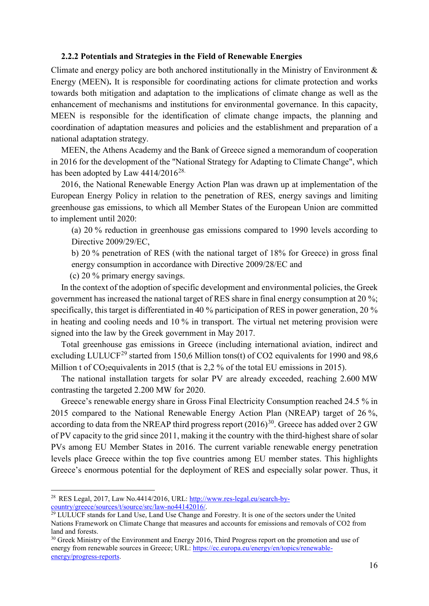#### <span id="page-15-0"></span>**2.2.2 Potentials and Strategies in the Field of Renewable Energies**

Climate and energy policy are both anchored institutionally in the Ministry of Environment  $\&$ Energy (MEEN)**.** It is responsible for coordinating actions for climate protection and works towards both mitigation and adaptation to the implications of climate change as well as the enhancement of mechanisms and institutions for environmental governance. In this capacity, MEEN is responsible for the identification of climate change impacts, the planning and coordination of adaptation measures and policies and the establishment and preparation of a national adaptation strategy.

MEEN, the Athens Academy and the Bank of Greece signed a memorandum of cooperation in 2016 for the development of the "National Strategy for Adapting to Climate Change", which has been adopted by Law  $4414/2016^{28}$ .

2016, the National Renewable Energy Action Plan was drawn up at implementation of the European Energy Policy in relation to the penetration of RES, energy savings and limiting greenhouse gas emissions, to which all Member States of the European Union are committed to implement until 2020:

(a) 20 % reduction in greenhouse gas emissions compared to 1990 levels according to Directive 2009/29/EC,

b) 20 % penetration of RES (with the national target of 18% for Greece) in gross final energy consumption in accordance with Directive 2009/28/EC and

(c) 20 % primary energy savings.

In the context of the adoption of specific development and environmental policies, the Greek government has increased the national target of RES share in final energy consumption at 20 %; specifically, this target is differentiated in 40 % participation of RES in power generation, 20 % in heating and cooling needs and 10 % in transport. The virtual net metering provision were signed into the law by the Greek government in May 2017.

Total greenhouse gas emissions in Greece (including international aviation, indirect and excluding LULUCF<sup>[29](#page-15-2)</sup> started from 150,6 Million tons(t) of CO2 equivalents for 1990 and 98,6 Million t of CO<sub>2</sub> equivalents in 2015 (that is 2,2 % of the total EU emissions in 2015).

The national installation targets for solar PV are already exceeded, reaching 2.600 MW contrasting the targeted 2.200 MW for 2020.

Greece's renewable energy share in Gross Final Electricity Consumption reached 24.5 % in 2015 compared to the National Renewable Energy Action Plan (NREAP) target of 26 %, according to data from the NREAP third progress report  $(2016)^{30}$  $(2016)^{30}$  $(2016)^{30}$ . Greece has added over 2 GW of PV capacity to the grid since 2011, making it the country with the third-highest share of solar PVs among EU Member States in 2016. The current variable renewable energy penetration levels place Greece within the top five countries among EU member states. This highlights Greece's enormous potential for the deployment of RES and especially solar power. Thus, it

<span id="page-15-1"></span> <sup>28</sup> RES Legal, 2017, Law No.4414/2016, URL: [http://www.res-legal.eu/search-by](http://www.res-legal.eu/search-by-country/greece/sources/t/source/src/law-no44142016/)[country/greece/sources/t/source/src/law-no44142016/.](http://www.res-legal.eu/search-by-country/greece/sources/t/source/src/law-no44142016/)

<span id="page-15-2"></span><sup>&</sup>lt;sup>29</sup> LULUCF stands for Land Use, Land Use Change and Forestry. It is one of the sectors under the United Nations Framework on Climate Change that measures and accounts for emissions and removals of CO2 from land and forests.

<span id="page-15-3"></span><sup>&</sup>lt;sup>30</sup> Greek Ministry of the Environment and Energy 2016, Third Progress report on the promotion and use of energy from renewable sources in Greece; URL[: https://ec.europa.eu/energy/en/topics/renewable](https://ec.europa.eu/energy/en/topics/renewable-energy/progress-reports)[energy/progress-reports.](https://ec.europa.eu/energy/en/topics/renewable-energy/progress-reports)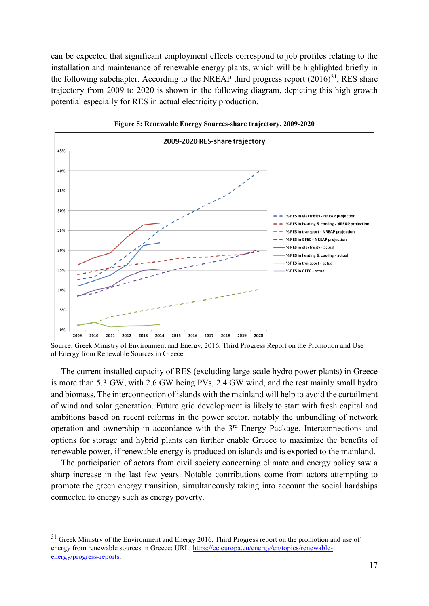can be expected that significant employment effects correspond to job profiles relating to the installation and maintenance of renewable energy plants, which will be highlighted briefly in the following subchapter. According to the NREAP third progress report  $(2016)^{31}$ , RES share trajectory from 2009 to 2020 is shown in the following diagram, depicting this high growth potential especially for RES in actual electricity production.



**Figure 5: Renewable Energy Sources-share trajectory, 2009-2020**

Source: Greek Ministry of Environment and Energy, 2016, Third Progress Report on the Promotion and Use of Energy from Renewable Sources in Greece

The current installed capacity of RES (excluding large-scale hydro power plants) in Greece is more than 5.3 GW, with 2.6 GW being PVs, 2.4 GW wind, and the rest mainly small hydro and biomass. The interconnection of islands with the mainland will help to avoid the curtailment of wind and solar generation. Future grid development is likely to start with fresh capital and ambitions based on recent reforms in the power sector, notably the unbundling of network operation and ownership in accordance with the 3rd Energy Package. Interconnections and options for storage and hybrid plants can further enable Greece to maximize the benefits of renewable power, if renewable energy is produced on islands and is exported to the mainland.

The participation of actors from civil society concerning climate and energy policy saw a sharp increase in the last few years. Notable contributions come from actors attempting to promote the green energy transition, simultaneously taking into account the social hardships connected to energy such as energy poverty.

<span id="page-16-0"></span><sup>&</sup>lt;sup>31</sup> Greek Ministry of the Environment and Energy 2016, Third Progress report on the promotion and use of energy from renewable sources in Greece; URL[: https://ec.europa.eu/energy/en/topics/renewable](https://ec.europa.eu/energy/en/topics/renewable-energy/progress-reports)[energy/progress-reports.](https://ec.europa.eu/energy/en/topics/renewable-energy/progress-reports)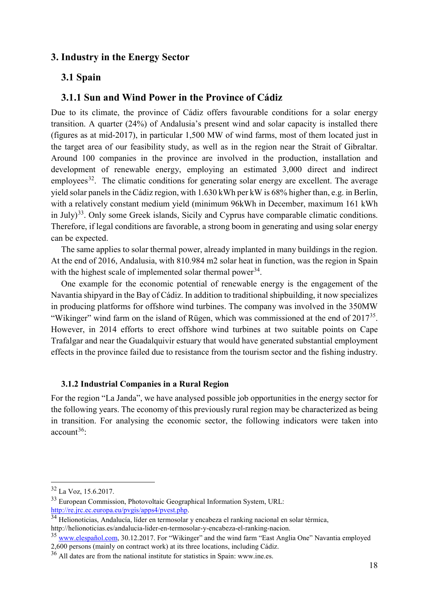## <span id="page-17-0"></span>**3. Industry in the Energy Sector**

#### <span id="page-17-1"></span>**3.1 Spain**

## <span id="page-17-2"></span>**3.1.1 Sun and Wind Power in the Province of Cádiz**

Due to its climate, the province of Cádiz offers favourable conditions for a solar energy transition. A quarter (24%) of Andalusia's present wind and solar capacity is installed there (figures as at mid-2017), in particular 1,500 MW of wind farms, most of them located just in the target area of our feasibility study, as well as in the region near the Strait of Gibraltar. Around 100 companies in the province are involved in the production, installation and development of renewable energy, employing an estimated 3,000 direct and indirect employees<sup>32</sup>. The climatic conditions for generating solar energy are excellent. The average yield solar panels in the Cádiz region, with 1.630 kWh per kW is 68% higher than, e.g. in Berlin, with a relatively constant medium yield (minimum 96kWh in December, maximum 161 kWh in July)<sup>[33](#page-17-5)</sup>. Only some Greek islands, Sicily and Cyprus have comparable climatic conditions. Therefore, if legal conditions are favorable, a strong boom in generating and using solar energy can be expected.

The same applies to solar thermal power, already implanted in many buildings in the region. At the end of 2016, Andalusia, with 810.984 m2 solar heat in function, was the region in Spain with the highest scale of implemented solar thermal power<sup>34</sup>.

One example for the economic potential of renewable energy is the engagement of the Navantia shipyard in the Bay of Cádiz. In addition to traditional shipbuilding, it now specializes in producing platforms for offshore wind turbines. The company was involved in the 350MW "Wikinger" wind farm on the island of Rügen, which was commissioned at the end of  $2017^{35}$ . However, in 2014 efforts to erect offshore wind turbines at two suitable points on Cape Trafalgar and near the Guadalquivir estuary that would have generated substantial employment effects in the province failed due to resistance from the tourism sector and the fishing industry.

#### <span id="page-17-3"></span>**3.1.2 Industrial Companies in a Rural Region**

For the region "La Janda", we have analysed possible job opportunities in the energy sector for the following years. The economy of this previously rural region may be characterized as being in transition. For analysing the economic sector, the following indicators were taken into  $account^{36}$ 

<span id="page-17-4"></span> <sup>32</sup> La Voz, 15.6.2017.

<span id="page-17-5"></span><sup>33</sup> European Commission, Photovoltaic Geographical Information System, URL: [http://re.jrc.ec.europa.eu/pvgis/apps4/pvest.php.](http://re.jrc.ec.europa.eu/pvgis/apps4/pvest.php)

<span id="page-17-6"></span><sup>&</sup>lt;sup>34</sup> Helionoticias, Andalucía, líder en termosolar y encabeza el ranking nacional en solar térmica, http://helionoticias.es/andalucia-lider-en-termosolar-y-encabeza-el-ranking-nacion.

<span id="page-17-7"></span><sup>&</sup>lt;sup>35</sup> www.elespañol.com, 30.12.2017. For "Wikinger" and the wind farm "East Anglia One" Navantia employed 2,600 persons (mainly on contract work) at its three locations, including Cádiz.

<span id="page-17-8"></span><sup>36</sup> All dates are from the national institute for statistics in Spain: www.ine.es.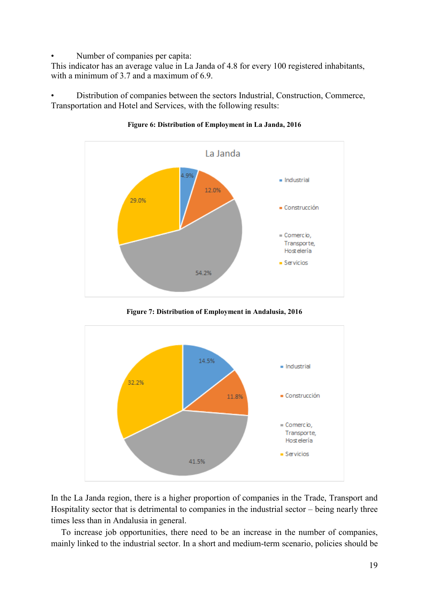• Number of companies per capita:

This indicator has an average value in La Janda of 4.8 for every 100 registered inhabitants, with a minimum of 3.7 and a maximum of 6.9.

• Distribution of companies between the sectors Industrial, Construction, Commerce, Transportation and Hotel and Services, with the following results:



**Figure 6: Distribution of Employment in La Janda, 2016**

**Figure 7: Distribution of Employment in Andalusia, 2016**



In the La Janda region, there is a higher proportion of companies in the Trade, Transport and Hospitality sector that is detrimental to companies in the industrial sector – being nearly three times less than in Andalusia in general.

To increase job opportunities, there need to be an increase in the number of companies, mainly linked to the industrial sector. In a short and medium-term scenario, policies should be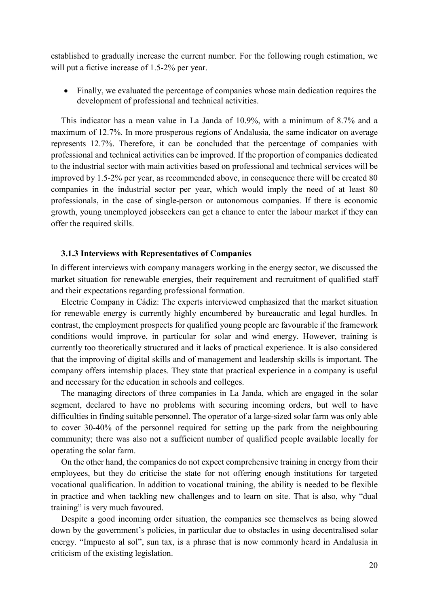established to gradually increase the current number. For the following rough estimation, we will put a fictive increase of 1.5-2% per year.

• Finally, we evaluated the percentage of companies whose main dedication requires the development of professional and technical activities.

This indicator has a mean value in La Janda of 10.9%, with a minimum of 8.7% and a maximum of 12.7%. In more prosperous regions of Andalusia, the same indicator on average represents 12.7%. Therefore, it can be concluded that the percentage of companies with professional and technical activities can be improved. If the proportion of companies dedicated to the industrial sector with main activities based on professional and technical services will be improved by 1.5-2% per year, as recommended above, in consequence there will be created 80 companies in the industrial sector per year, which would imply the need of at least 80 professionals, in the case of single-person or autonomous companies. If there is economic growth, young unemployed jobseekers can get a chance to enter the labour market if they can offer the required skills.

#### <span id="page-19-0"></span>**3.1.3 Interviews with Representatives of Companies**

In different interviews with company managers working in the energy sector, we discussed the market situation for renewable energies, their requirement and recruitment of qualified staff and their expectations regarding professional formation.

Electric Company in Cádiz: The experts interviewed emphasized that the market situation for renewable energy is currently highly encumbered by bureaucratic and legal hurdles. In contrast, the employment prospects for qualified young people are favourable if the framework conditions would improve, in particular for solar and wind energy. However, training is currently too theoretically structured and it lacks of practical experience. It is also considered that the improving of digital skills and of management and leadership skills is important. The company offers internship places. They state that practical experience in a company is useful and necessary for the education in schools and colleges.

The managing directors of three companies in La Janda, which are engaged in the solar segment, declared to have no problems with securing incoming orders, but well to have difficulties in finding suitable personnel. The operator of a large-sized solar farm was only able to cover 30-40% of the personnel required for setting up the park from the neighbouring community; there was also not a sufficient number of qualified people available locally for operating the solar farm.

On the other hand, the companies do not expect comprehensive training in energy from their employees, but they do criticise the state for not offering enough institutions for targeted vocational qualification. In addition to vocational training, the ability is needed to be flexible in practice and when tackling new challenges and to learn on site. That is also, why "dual training" is very much favoured.

Despite a good incoming order situation, the companies see themselves as being slowed down by the government's policies, in particular due to obstacles in using decentralised solar energy. "Impuesto al sol", sun tax, is a phrase that is now commonly heard in Andalusia in criticism of the existing legislation.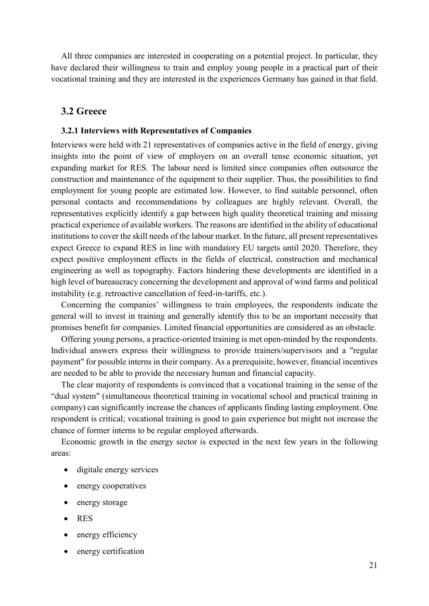All three companies are interested in cooperating on a potential project. In particular, they have declared their willingness to train and employ young people in a practical part of their vocational training and they are interested in the experiences Germany has gained in that field.

#### <span id="page-20-0"></span>**3.2 Greece**

#### <span id="page-20-1"></span>**3.2.1 Interviews with Representatives of Companies**

Interviews were held with 21 representatives of companies active in the field of energy, giving insights into the point of view of employers on an overall tense economic situation, yet expanding market for RES. The labour need is limited since companies often outsource the construction and maintenance of the equipment to their supplier. Thus, the possibilities to find employment for young people are estimated low. However, to find suitable personnel, often personal contacts and recommendations by colleagues are highly relevant. Overall, the representatives explicitly identify a gap between high quality theoretical training and missing practical experience of available workers. The reasons are identified in the ability of educational institutions to cover the skill needs of the labour market. In the future, all present representatives expect Greece to expand RES in line with mandatory EU targets until 2020. Therefore, they expect positive employment effects in the fields of electrical, construction and mechanical engineering as well as topography. Factors hindering these developments are identified in a high level of bureaucracy concerning the development and approval of wind farms and political instability (e.g. retroactive cancellation of feed-in-tariffs, etc.).

Concerning the companies' willingness to train employees, the respondents indicate the general will to invest in training and generally identify this to be an important necessity that promises benefit for companies. Limited financial opportunities are considered as an obstacle.

Offering young persons, a practice-oriented training is met open-minded by the respondents. Individual answers express their willingness to provide trainers/supervisors and a "regular payment" for possible interns in their company. As a prerequisite, however, financial incentives are needed to be able to provide the necessary human and financial capacity.

The clear majority of respondents is convinced that a vocational training in the sense of the "dual system" (simultaneous theoretical training in vocational school and practical training in company) can significantly increase the chances of applicants finding lasting employment. One respondent is critical; vocational training is good to gain experience but might not increase the chance of former interns to be regular employed afterwards.

Economic growth in the energy sector is expected in the next few years in the following areas:

- digitale energy services
- energy cooperatives
- energy storage
- RES
- energy efficiency
- energy certification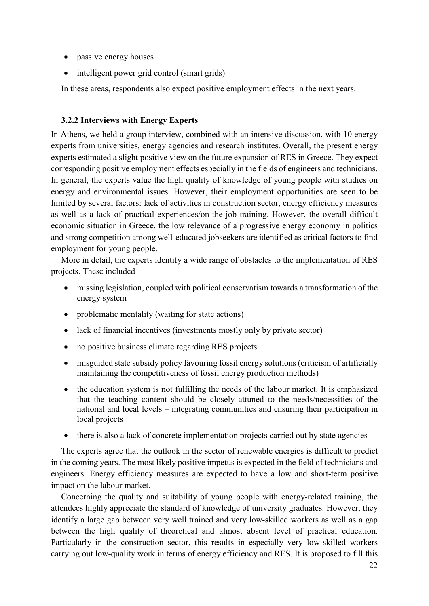- passive energy houses
- intelligent power grid control (smart grids)

In these areas, respondents also expect positive employment effects in the next years.

#### <span id="page-21-0"></span>**3.2.2 Interviews with Energy Experts**

In Athens, we held a group interview, combined with an intensive discussion, with 10 energy experts from universities, energy agencies and research institutes. Overall, the present energy experts estimated a slight positive view on the future expansion of RES in Greece. They expect corresponding positive employment effects especially in the fields of engineers and technicians. In general, the experts value the high quality of knowledge of young people with studies on energy and environmental issues. However, their employment opportunities are seen to be limited by several factors: lack of activities in construction sector, energy efficiency measures as well as a lack of practical experiences/on-the-job training. However, the overall difficult economic situation in Greece, the low relevance of a progressive energy economy in politics and strong competition among well-educated jobseekers are identified as critical factors to find employment for young people.

More in detail, the experts identify a wide range of obstacles to the implementation of RES projects. These included

- missing legislation, coupled with political conservatism towards a transformation of the energy system
- problematic mentality (waiting for state actions)
- lack of financial incentives (investments mostly only by private sector)
- no positive business climate regarding RES projects
- misguided state subsidy policy favouring fossil energy solutions (criticism of artificially maintaining the competitiveness of fossil energy production methods)
- the education system is not fulfilling the needs of the labour market. It is emphasized that the teaching content should be closely attuned to the needs/necessities of the national and local levels – integrating communities and ensuring their participation in local projects
- there is also a lack of concrete implementation projects carried out by state agencies

The experts agree that the outlook in the sector of renewable energies is difficult to predict in the coming years. The most likely positive impetus is expected in the field of technicians and engineers. Energy efficiency measures are expected to have a low and short-term positive impact on the labour market.

Concerning the quality and suitability of young people with energy-related training, the attendees highly appreciate the standard of knowledge of university graduates. However, they identify a large gap between very well trained and very low-skilled workers as well as a gap between the high quality of theoretical and almost absent level of practical education. Particularly in the construction sector, this results in especially very low-skilled workers carrying out low-quality work in terms of energy efficiency and RES. It is proposed to fill this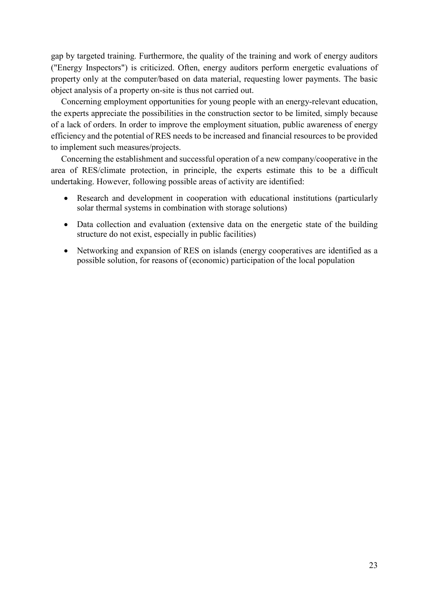gap by targeted training. Furthermore, the quality of the training and work of energy auditors ("Energy Inspectors") is criticized. Often, energy auditors perform energetic evaluations of property only at the computer/based on data material, requesting lower payments. The basic object analysis of a property on-site is thus not carried out.

Concerning employment opportunities for young people with an energy-relevant education, the experts appreciate the possibilities in the construction sector to be limited, simply because of a lack of orders. In order to improve the employment situation, public awareness of energy efficiency and the potential of RES needs to be increased and financial resources to be provided to implement such measures/projects.

Concerning the establishment and successful operation of a new company/cooperative in the area of RES/climate protection, in principle, the experts estimate this to be a difficult undertaking. However, following possible areas of activity are identified:

- Research and development in cooperation with educational institutions (particularly solar thermal systems in combination with storage solutions)
- Data collection and evaluation (extensive data on the energetic state of the building structure do not exist, especially in public facilities)
- Networking and expansion of RES on islands (energy cooperatives are identified as a possible solution, for reasons of (economic) participation of the local population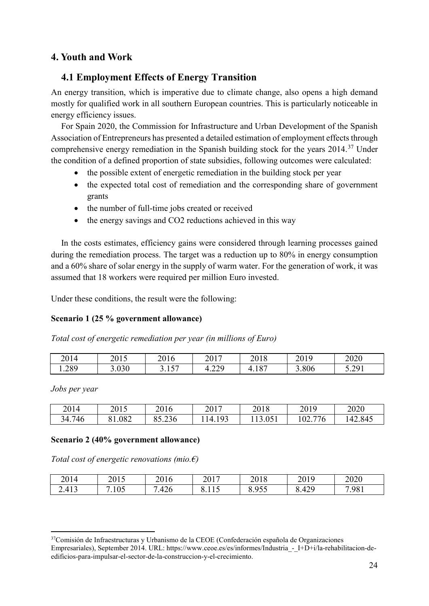# <span id="page-23-0"></span>**4. Youth and Work**

## <span id="page-23-1"></span>**4.1 Employment Effects of Energy Transition**

An energy transition, which is imperative due to climate change, also opens a high demand mostly for qualified work in all southern European countries. This is particularly noticeable in energy efficiency issues.

For Spain 2020, the Commission for Infrastructure and Urban Development of the Spanish Association of Entrepreneurs has presented a detailed estimation of employment effects through comprehensive energy remediation in the Spanish building stock for the years 2014.<sup>[37](#page-23-2)</sup> Under the condition of a defined proportion of state subsidies, following outcomes were calculated:

- the possible extent of energetic remediation in the building stock per year
- the expected total cost of remediation and the corresponding share of government grants
- the number of full-time jobs created or received
- the energy savings and CO2 reductions achieved in this way

In the costs estimates, efficiency gains were considered through learning processes gained during the remediation process. The target was a reduction up to 80% in energy consumption and a 60% share of solar energy in the supply of warm water. For the generation of work, it was assumed that 18 workers were required per million Euro invested.

Under these conditions, the result were the following:

## **Scenario 1 (25 % government allowance)**

*Total cost of energetic remediation per year (in millions of Euro)*

| 2014  | 2015  | 2016                   | 2017         | 2018                   | 2019 | 2020           |
|-------|-------|------------------------|--------------|------------------------|------|----------------|
| 1.289 | 3.030 | $\sqrt{2}$<br><u>.</u> | 220<br>т.∠∠, | $10-$<br>◢<br>+. I O , | .806 | 5 701<br>7.271 |

*Jobs per year*

| 2014   | 2015 | 2016   | 2017                             | 2018           | 2019                     | 2020   |
|--------|------|--------|----------------------------------|----------------|--------------------------|--------|
| 34.746 | .082 | 85.236 | Q <sub>2</sub><br>$\overline{4}$ | 051<br>19.09 I | 776<br>$\Omega$<br>102.7 | 42.845 |

## **Scenario 2 (40% government allowance)**

*Total cost of energetic renovations (mio.€)*

| 2014  | 2015<br>201J | 2016                                | 2017     | 2018<br>2010                     | 2019  | 2020  |
|-------|--------------|-------------------------------------|----------|----------------------------------|-------|-------|
| 2.413 | .105         | $\Lambda$<br>ᅟ <del>ᄼ</del><br>ט∡+. | 0. L L J | $\lambda$ 057<br>v. <i>) J J</i> | 8.429 | 7.981 |

<span id="page-23-2"></span><sup>&</sup>lt;sup>37</sup>Comisión de Infraestructuras y Urbanismo de la CEOE (Confederación española de Organizaciones Empresariales), September 2014. URL: https://www.ceoe.es/es/informes/Industria - I+D+i/la-rehabilitacion-deedificios-para-impulsar-el-sector-de-la-construccion-y-el-crecimiento.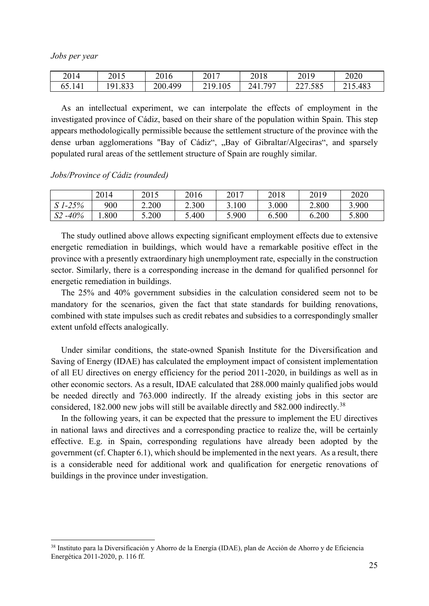*Jobs per year*

| 2014             | 2015                    | 2016    | 2017                    | 2018       | 2019                | 2020 |
|------------------|-------------------------|---------|-------------------------|------------|---------------------|------|
| 514 <sup>1</sup> | 1.833<br>Q <sub>1</sub> | 200.499 | .105<br>10 <sub>1</sub> | 797<br>241 | .585<br>227<br>22 I | .483 |

As an intellectual experiment, we can interpolate the effects of employment in the investigated province of Cádiz, based on their share of the population within Spain. This step appears methodologically permissible because the settlement structure of the province with the dense urban agglomerations "Bay of Cádiz", "Bay of Gibraltar/Algeciras", and sparsely populated rural areas of the settlement structure of Spain are roughly similar.

*Jobs/Province of Cádiz (rounded)* 

|             | 2014 | 2015  | 2016  | 2017  | 2018  | 2019  | 2020  |
|-------------|------|-------|-------|-------|-------|-------|-------|
| $S$ 1-25%   | 900  | 2.200 | 2.300 | 3.100 | 3.000 | 2.800 | 3.900 |
| $S2 - 40\%$ | .800 | 5.200 | 5.400 | 5.900 | 6.500 | 6.200 | 5.800 |

The study outlined above allows expecting significant employment effects due to extensive energetic remediation in buildings, which would have a remarkable positive effect in the province with a presently extraordinary high unemployment rate, especially in the construction sector. Similarly, there is a corresponding increase in the demand for qualified personnel for energetic remediation in buildings.

The 25% and 40% government subsidies in the calculation considered seem not to be mandatory for the scenarios, given the fact that state standards for building renovations, combined with state impulses such as credit rebates and subsidies to a correspondingly smaller extent unfold effects analogically.

Under similar conditions, the state-owned Spanish Institute for the Diversification and Saving of Energy (IDAE) has calculated the employment impact of consistent implementation of all EU directives on energy efficiency for the period 2011-2020, in buildings as well as in other economic sectors. As a result, IDAE calculated that 288.000 mainly qualified jobs would be needed directly and 763.000 indirectly. If the already existing jobs in this sector are considered, 182.000 new jobs will still be available directly and 582.000 indirectly.<sup>[38](#page-24-0)</sup>

In the following years, it can be expected that the pressure to implement the EU directives in national laws and directives and a corresponding practice to realize the, will be certainly effective. E.g. in Spain, corresponding regulations have already been adopted by the government (cf. Chapter 6.1), which should be implemented in the next years. As a result, there is a considerable need for additional work and qualification for energetic renovations of buildings in the province under investigation.

<span id="page-24-0"></span> <sup>38</sup> Instituto para la Diversificación y Ahorro de la Energía (IDAE), plan de Acción de Ahorro y de Eficiencia Energética 2011-2020, p. 116 ff.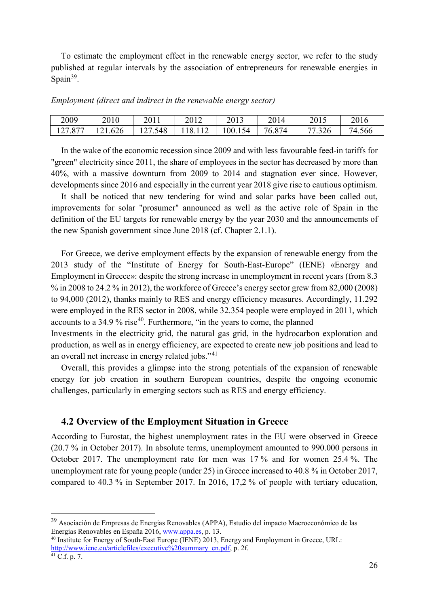To estimate the employment effect in the renewable energy sector, we refer to the study published at regular intervals by the association of entrepreneurs for renewable energies in Spain $39$ .

|  |  | Employment (direct and indirect in the renewable energy sector) |
|--|--|-----------------------------------------------------------------|
|  |  |                                                                 |

| 2009 | 2010  | 2011         | $\bigcap$ 1 $\bigcap$<br>2012 | 2013                    | 2014   | 2015                             | 2016   |
|------|-------|--------------|-------------------------------|-------------------------|--------|----------------------------------|--------|
| .877 | 1.626 | 548<br>⊥ ∠ ⊥ | 18                            | 100.15<br>.<br>$\Delta$ | 76.874 | .326<br>$\overline{\phantom{a}}$ | 74.566 |

In the wake of the economic recession since 2009 and with less favourable feed-in tariffs for "green" electricity since 2011, the share of employees in the sector has decreased by more than 40%, with a massive downturn from 2009 to 2014 and stagnation ever since. However, developments since 2016 and especially in the current year 2018 give rise to cautious optimism.

It shall be noticed that new tendering for wind and solar parks have been called out, improvements for solar "prosumer" announced as well as the active role of Spain in the definition of the EU targets for renewable energy by the year 2030 and the announcements of the new Spanish government since June 2018 (cf. Chapter 2.1.1).

For Greece, we derive employment effects by the expansion of renewable energy from the 2013 study of the "Institute of Energy for South-East-Europe" (IENE) «Energy and Employment in Greece»: despite the strong increase in unemployment in recent years (from 8.3  $\%$  in 2008 to 24.2 % in 2012), the workforce of Greece's energy sector grew from 82,000 (2008) to 94,000 (2012), thanks mainly to RES and energy efficiency measures. Accordingly, 11.292 were employed in the RES sector in 2008, while 32.354 people were employed in 2011, which accounts to a  $34.9\%$  rise<sup>[40](#page-25-2)</sup>. Furthermore, "in the years to come, the planned

Investments in the electricity grid, the natural gas grid, in the hydrocarbon exploration and production, as well as in energy efficiency, are expected to create new job positions and lead to an overall net increase in energy related jobs."[41](#page-25-3)

Overall, this provides a glimpse into the strong potentials of the expansion of renewable energy for job creation in southern European countries, despite the ongoing economic challenges, particularly in emerging sectors such as RES and energy efficiency.

#### <span id="page-25-0"></span>**4.2 Overview of the Employment Situation in Greece**

According to Eurostat, the highest unemployment rates in the EU were observed in Greece (20.7 % in October 2017). In absolute terms, unemployment amounted to 990.000 persons in October 2017. The unemployment rate for men was 17 % and for women 25.4 %. The unemployment rate for young people (under 25) in Greece increased to 40.8 % in October 2017, compared to 40.3 % in September 2017. In 2016, 17,2 % of people with tertiary education,

<span id="page-25-1"></span> <sup>39</sup> Asociación de Empresas de Energias Renovables (APPA), Estudio del impacto Macroeconómico de las Energías Renovables en España 2016, [www.appa.es,](http://www.appa.es/) p. 13.

<span id="page-25-2"></span><sup>40</sup> Institute for Energy of South-East Europe (IENE) 2013, Energy and Employment in Greece, URL: [http://www.iene.eu/articlefiles/executive%20summary\\_en.pdf,](http://www.iene.eu/articlefiles/executive%20summary_en.pdf) p. 2f.

<span id="page-25-3"></span> $41 \overline{C}$ .f. p. 7.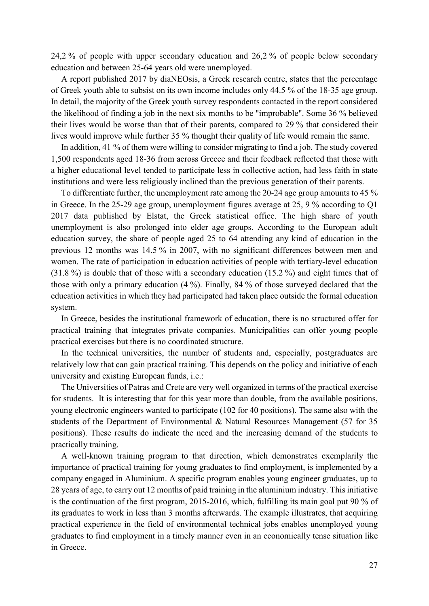24,2 % of people with upper secondary education and 26,2 % of people below secondary education and between 25-64 years old were unemployed.

A report published 2017 by diaNEOsis, a Greek research centre, states that the percentage of Greek youth able to subsist on its own income includes only 44.5 % of the 18-35 age group. In detail, the majority of the Greek youth survey respondents contacted in the report considered the likelihood of finding a job in the next six months to be "improbable". Some 36 % believed their lives would be worse than that of their parents, compared to 29 % that considered their lives would improve while further 35 % thought their quality of life would remain the same.

In addition, 41 % of them were willing to consider migrating to find a job. The study covered 1,500 respondents aged 18-36 from across Greece and their feedback reflected that those with a higher educational level tended to participate less in collective action, had less faith in state institutions and were less religiously inclined than the previous generation of their parents.

To differentiate further, the unemployment rate among the 20-24 age group amounts to 45 % in Greece. In the 25-29 age group, unemployment figures average at 25, 9 % according to Q1 2017 data published by Elstat, the Greek statistical office. The high share of youth unemployment is also prolonged into elder age groups. According to the European adult education survey, the share of people aged 25 to 64 attending any kind of education in the previous 12 months was 14.5 % in 2007, with no significant differences between men and women. The rate of participation in education activities of people with tertiary-level education (31.8 %) is double that of those with a secondary education (15.2 %) and eight times that of those with only a primary education (4 %). Finally, 84 % of those surveyed declared that the education activities in which they had participated had taken place outside the formal education system.

In Greece, besides the institutional framework of education, there is no structured offer for practical training that integrates private companies. Municipalities can offer young people practical exercises but there is no coordinated structure.

In the technical universities, the number of students and, especially, postgraduates are relatively low that can gain practical training. This depends on the policy and initiative of each university and existing European funds, i.e.:

The Universities of Patras and Crete are very well organized in terms of the practical exercise for students. It is interesting that for this year more than double, from the available positions, young electronic engineers wanted to participate (102 for 40 positions). The same also with the students of the Department of Environmental & Natural Resources Management (57 for 35 positions). These results do indicate the need and the increasing demand of the students to practically training.

A well-known training program to that direction, which demonstrates exemplarily the importance of practical training for young graduates to find employment, is implemented by a company engaged in Aluminium. A specific program enables young engineer graduates, up to 28 years of age, to carry out 12 months of paid training in the aluminium industry. This initiative is the continuation of the first program, 2015-2016, which, fulfilling its main goal put 90 % of its graduates to work in less than 3 months afterwards. The example illustrates, that acquiring practical experience in the field of environmental technical jobs enables unemployed young graduates to find employment in a timely manner even in an economically tense situation like in Greece.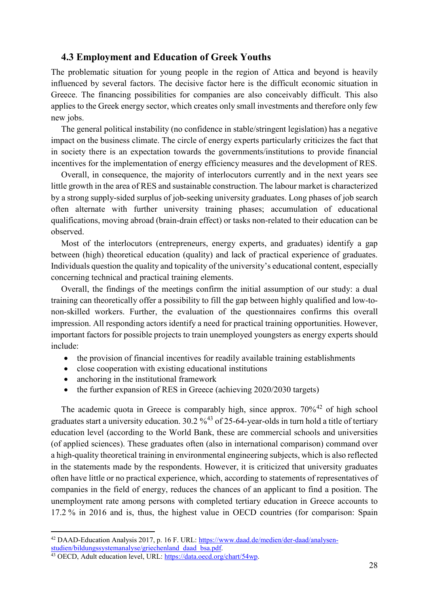## <span id="page-27-0"></span>**4.3 Employment and Education of Greek Youths**

The problematic situation for young people in the region of Attica and beyond is heavily influenced by several factors. The decisive factor here is the difficult economic situation in Greece. The financing possibilities for companies are also conceivably difficult. This also applies to the Greek energy sector, which creates only small investments and therefore only few new jobs.

The general political instability (no confidence in stable/stringent legislation) has a negative impact on the business climate. The circle of energy experts particularly criticizes the fact that in society there is an expectation towards the governments/institutions to provide financial incentives for the implementation of energy efficiency measures and the development of RES.

Overall, in consequence, the majority of interlocutors currently and in the next years see little growth in the area of RES and sustainable construction. The labour market is characterized by a strong supply-sided surplus of job-seeking university graduates. Long phases of job search often alternate with further university training phases; accumulation of educational qualifications, moving abroad (brain-drain effect) or tasks non-related to their education can be observed.

Most of the interlocutors (entrepreneurs, energy experts, and graduates) identify a gap between (high) theoretical education (quality) and lack of practical experience of graduates. Individuals question the quality and topicality of the university's educational content, especially concerning technical and practical training elements.

Overall, the findings of the meetings confirm the initial assumption of our study: a dual training can theoretically offer a possibility to fill the gap between highly qualified and low-tonon-skilled workers. Further, the evaluation of the questionnaires confirms this overall impression. All responding actors identify a need for practical training opportunities. However, important factors for possible projects to train unemployed youngsters as energy experts should include:

- the provision of financial incentives for readily available training establishments
- close cooperation with existing educational institutions
- anchoring in the institutional framework
- the further expansion of RES in Greece (achieving 2020/2030 targets)

The academic quota in Greece is comparably high, since approx.  $70\%$ <sup>[42](#page-27-1)</sup> of high school graduates start a university education.  $30.2\%$ <sup>[43](#page-27-2)</sup> of 25-64-year-olds in turn hold a title of tertiary education level (according to the World Bank, these are commercial schools and universities (of applied sciences). These graduates often (also in international comparison) command over a high-quality theoretical training in environmental engineering subjects, which is also reflected in the statements made by the respondents. However, it is criticized that university graduates often have little or no practical experience, which, according to statements of representatives of companies in the field of energy, reduces the chances of an applicant to find a position. The unemployment rate among persons with completed tertiary education in Greece accounts to 17.2 % in 2016 and is, thus, the highest value in OECD countries (for comparison: Spain

<span id="page-27-1"></span> <sup>42</sup> DAAD-Education Analysis 2017, p. 16 F. URL: [https://www.daad.de/medien/der-daad/analysen](https://www.daad.de/medien/der-daad/analysen-studien/bildungssystemanalyse/griechenland_daad_bsa.pdf)[studien/bildungssystemanalyse/griechenland\\_daad\\_bsa.pdf.](https://www.daad.de/medien/der-daad/analysen-studien/bildungssystemanalyse/griechenland_daad_bsa.pdf)

<span id="page-27-2"></span><sup>43</sup> OECD, Adult education level, URL: [https://data.oecd.org/chart/54wp.](https://data.oecd.org/chart/54wp)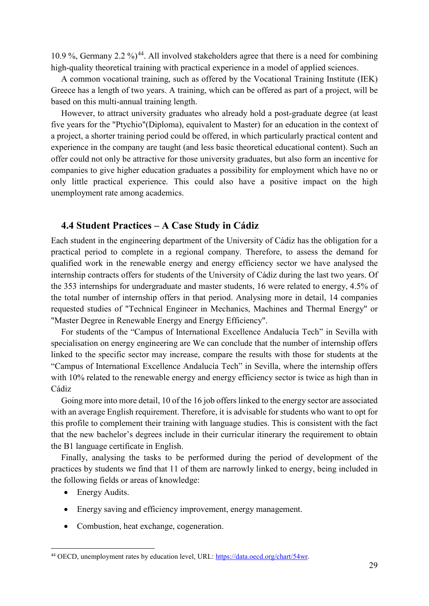10.9 %, Germany 2.2 %)<sup>44</sup>. All involved stakeholders agree that there is a need for combining high-quality theoretical training with practical experience in a model of applied sciences.

A common vocational training, such as offered by the Vocational Training Institute (IEK) Greece has a length of two years. A training, which can be offered as part of a project, will be based on this multi-annual training length.

However, to attract university graduates who already hold a post-graduate degree (at least five years for the "Ptychio"(Diploma), equivalent to Master) for an education in the context of a project, a shorter training period could be offered, in which particularly practical content and experience in the company are taught (and less basic theoretical educational content). Such an offer could not only be attractive for those university graduates, but also form an incentive for companies to give higher education graduates a possibility for employment which have no or only little practical experience. This could also have a positive impact on the high unemployment rate among academics.

## <span id="page-28-0"></span>**4.4 Student Practices – A Case Study in Cádiz**

Each student in the engineering department of the University of Cádiz has the obligation for a practical period to complete in a regional company. Therefore, to assess the demand for qualified work in the renewable energy and energy efficiency sector we have analysed the internship contracts offers for students of the University of Cádiz during the last two years. Of the 353 internships for undergraduate and master students, 16 were related to energy, 4.5% of the total number of internship offers in that period. Analysing more in detail, 14 companies requested studies of "Technical Engineer in Mechanics, Machines and Thermal Energy" or "Master Degree in Renewable Energy and Energy Efficiency".

For students of the "Campus of International Excellence Andalucía Tech" in Sevilla with specialisation on energy engineering are We can conclude that the number of internship offers linked to the specific sector may increase, compare the results with those for students at the "Campus of International Excellence Andalucía Tech" in Sevilla, where the internship offers with 10% related to the renewable energy and energy efficiency sector is twice as high than in Cádiz

Going more into more detail, 10 of the 16 job offers linked to the energy sector are associated with an average English requirement. Therefore, it is advisable for students who want to opt for this profile to complement their training with language studies. This is consistent with the fact that the new bachelor's degrees include in their curricular itinerary the requirement to obtain the B1 language certificate in English.

Finally, analysing the tasks to be performed during the period of development of the practices by students we find that 11 of them are narrowly linked to energy, being included in the following fields or areas of knowledge:

- Energy Audits.
- Energy saving and efficiency improvement, energy management.
- Combustion, heat exchange, cogeneration.

<span id="page-28-1"></span> <sup>44</sup> OECD, unemployment rates by education level, URL: [https://data.oecd.org/chart/54wr.](https://data.oecd.org/chart/54wr)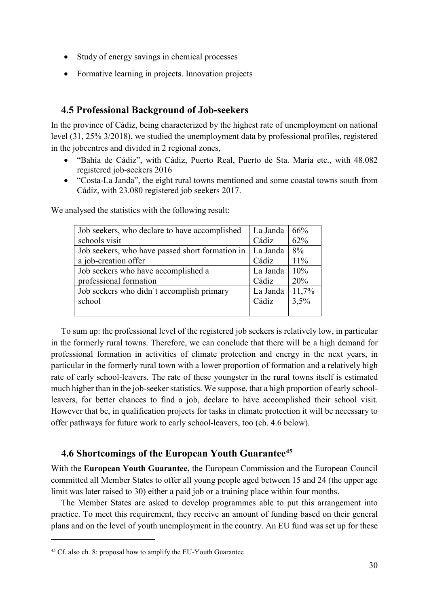- Study of energy savings in chemical processes
- Formative learning in projects. Innovation projects

## <span id="page-29-0"></span>**4.5 Professional Background of Job-seekers**

In the province of Cádiz, being characterized by the highest rate of unemployment on national level (31, 25% 3/2018), we studied the unemployment data by professional profiles, registered in the jobcentres and divided in 2 regional zones,

- "Bahía de Cádiz", with Cádiz, Puerto Real, Puerto de Sta. Maria etc., with 48.082 registered job-seekers 2016
- "Costa-La Janda", the eight rural towns mentioned and some coastal towns south from Cádiz, with 23.080 registered job seekers 2017.

| Job seekers, who declare to have accomplished   | La Janda | 66%   |
|-------------------------------------------------|----------|-------|
| schools visit                                   | Cádiz    | 62%   |
| Job seekers, who have passed short formation in | La Janda | 8%    |
| a job-creation offer                            | Cádiz    | 11%   |
| Job seekers who have accomplished a             | La Janda | 10%   |
| professional formation                          | Cádiz    | 20%   |
| Job seekers who didn't accomplish primary       | La Janda | 11,7% |
| school                                          | Cádiz    | 3,5%  |
|                                                 |          |       |

We analysed the statistics with the following result:

To sum up: the professional level of the registered job seekers is relatively low, in particular in the formerly rural towns. Therefore, we can conclude that there will be a high demand for professional formation in activities of climate protection and energy in the next years, in particular in the formerly rural town with a lower proportion of formation and a relatively high rate of early school-leavers. The rate of these youngster in the rural towns itself is estimated much higher than in the job-seeker statistics. We suppose, that a high proportion of early schoolleavers, for better chances to find a job, declare to have accomplished their school visit. However that be, in qualification projects for tasks in climate protection it will be necessary to offer pathways for future work to early school-leavers, too (ch. 4.6 below).

## <span id="page-29-1"></span>**4.6 Shortcomings of the European Youth Guarantee[45](#page-29-2)**

With the **European Youth Guarantee,** the European Commission and the European Council committed all Member States to offer all young people aged between 15 and 24 (the upper age limit was later raised to 30) either a paid job or a training place within four months.

The Member States are asked to develop programmes able to put this arrangement into practice. To meet this requirement, they receive an amount of funding based on their general plans and on the level of youth unemployment in the country. An EU fund was set up for these

 $\overline{a}$ 

<span id="page-29-2"></span><sup>45</sup> Cf. also ch. 8: proposal how to amplify the EU-Youth Guarantee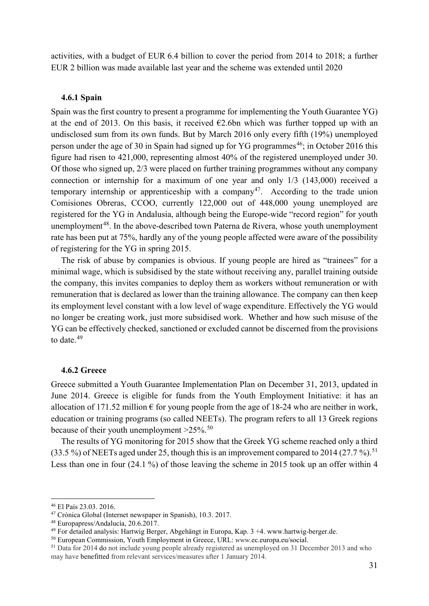activities, with a budget of EUR 6.4 billion to cover the period from 2014 to 2018; a further EUR 2 billion was made available last year and the scheme was extended until 2020

#### <span id="page-30-0"></span>**4.6.1 Spain**

Spain was the first country to present a programme for implementing the Youth Guarantee YG) at the end of 2013. On this basis, it received  $\epsilon$ 2.6bn which was further topped up with an undisclosed sum from its own funds. But by March 2016 only every fifth (19%) unemployed person under the age of 30 in Spain had signed up for YG programmes<sup>46</sup>; in October 2016 this figure had risen to 421,000, representing almost 40% of the registered unemployed under 30. Of those who signed up, 2/3 were placed on further training programmes without any company connection or internship for a maximum of one year and only 1/3 (143,000) received a temporary internship or apprenticeship with a company<sup>47</sup>. According to the trade union Comisiones Obreras, CCOO, currently 122,000 out of 448,000 young unemployed are registered for the YG in Andalusia, although being the Europe-wide "record region" for youth unemployment<sup>[48](#page-30-4)</sup>. In the above-described town Paterna de Rivera, whose youth unemployment rate has been put at 75%, hardly any of the young people affected were aware of the possibility of registering for the YG in spring 2015.

The risk of abuse by companies is obvious. If young people are hired as "trainees" for a minimal wage, which is subsidised by the state without receiving any, parallel training outside the company, this invites companies to deploy them as workers without remuneration or with remuneration that is declared as lower than the training allowance. The company can then keep its employment level constant with a low level of wage expenditure. Effectively the YG would no longer be creating work, just more subsidised work. Whether and how such misuse of the YG can be effectively checked, sanctioned or excluded cannot be discerned from the provisions to date. $49$ 

#### <span id="page-30-1"></span>**4.6.2 Greece**

Greece submitted a Youth Guarantee Implementation Plan on December 31, 2013, updated in June 2014. Greece is eligible for funds from the Youth Employment Initiative: it has an allocation of 171.52 million  $\epsilon$  for young people from the age of 18-24 who are neither in work, education or training programs (so called NEETs). The program refers to all 13 Greek regions because of their youth unemployment  $>25\%$ .<sup>[50](#page-30-6)</sup>

The results of YG monitoring for 2015 show that the Greek YG scheme reached only a third (33.5 %) of NEETs aged under 25, though this is an improvement compared to 2014 (27.7 %).<sup>[51](#page-30-7)</sup> Less than one in four (24.1 %) of those leaving the scheme in 2015 took up an offer within 4

<span id="page-30-2"></span> <sup>46</sup> El País 23.03. 2016.

<span id="page-30-3"></span><sup>47</sup> Crónica Global (Internet newspaper in Spanish), 10.3. 2017.

<span id="page-30-4"></span><sup>48</sup> Europapress/Andalucía, 20.6.2017.

<span id="page-30-5"></span><sup>49</sup> For detailed analysis: Hartwig Berger, Abgehängt in Europa, Kap. 3 +4. www.hartwig-berger.de.

<span id="page-30-6"></span><sup>50</sup> European Commission, Youth Employment in Greece, URL: *www.*ec.europa.eu/social.

<span id="page-30-7"></span><sup>&</sup>lt;sup>51</sup> Data for 2014 do not include young people already registered as unemployed on 31 December 2013 and who may have benefitted from relevant services/measures after 1 January 2014.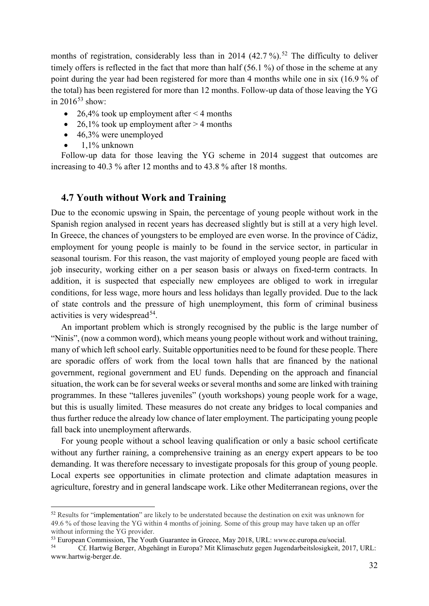months of registration, considerably less than in 2014 (42.7 %).<sup>[52](#page-31-1)</sup> The difficulty to deliver timely offers is reflected in the fact that more than half (56.1 %) of those in the scheme at any point during the year had been registered for more than 4 months while one in six (16.9 % of the total) has been registered for more than 12 months. Follow-up data of those leaving the YG in  $2016^{53}$  $2016^{53}$  $2016^{53}$  show:

- 26,4% took up employment after  $\leq$  4 months
- 26,1% took up employment after  $>$  4 months
- $\bullet$  46,3% were unemployed
- 1,1% unknown

Follow-up data for those leaving the YG scheme in 2014 suggest that outcomes are increasing to 40.3 % after 12 months and to 43.8 % after 18 months.

#### <span id="page-31-0"></span>**4.7 Youth without Work and Training**

Due to the economic upswing in Spain, the percentage of young people without work in the Spanish region analysed in recent years has decreased slightly but is still at a very high level. In Greece, the chances of youngsters to be employed are even worse. In the province of Cádiz, employment for young people is mainly to be found in the service sector, in particular in seasonal tourism. For this reason, the vast majority of employed young people are faced with job insecurity, working either on a per season basis or always on fixed-term contracts. In addition, it is suspected that especially new employees are obliged to work in irregular conditions, for less wage, more hours and less holidays than legally provided. Due to the lack of state controls and the pressure of high unemployment, this form of criminal business activities is very widespread  $54$ .

An important problem which is strongly recognised by the public is the large number of "Ninis", (now a common word), which means young people without work and without training, many of which left school early. Suitable opportunities need to be found for these people. There are sporadic offers of work from the local town halls that are financed by the national government, regional government and EU funds. Depending on the approach and financial situation, the work can be for several weeks or several months and some are linked with training programmes. In these "talleres juveniles" (youth workshops) young people work for a wage, but this is usually limited. These measures do not create any bridges to local companies and thus further reduce the already low chance of later employment. The participating young people fall back into unemployment afterwards.

For young people without a school leaving qualification or only a basic school certificate without any further raining, a comprehensive training as an energy expert appears to be too demanding. It was therefore necessary to investigate proposals for this group of young people. Local experts see opportunities in climate protection and climate adaptation measures in agriculture, forestry and in general landscape work. Like other Mediterranean regions, over the

<span id="page-31-1"></span> <sup>52</sup> Results for "implementation" are likely to be understated because the destination on exit was unknown for 49.6 % of those leaving the YG within 4 months of joining. Some of this group may have taken up an offer without informing the YG provider.

<span id="page-31-2"></span><sup>&</sup>lt;sup>53</sup> European Commission, The Youth Guarantee in Greece, May 2018, URL: *www.ec.europa.eu/social.*<br><sup>54</sup> Cf. Hartwig Berger, Abgehängt in Europa? Mit Klimaschutz gegen Jugendarbeitslosigkeit.

<span id="page-31-3"></span><sup>54</sup> Cf. Hartwig Berger, Abgehängt in Europa? Mit Klimaschutz gegen Jugendarbeitslosigkeit, 2017, URL: www.hartwig-berger.de.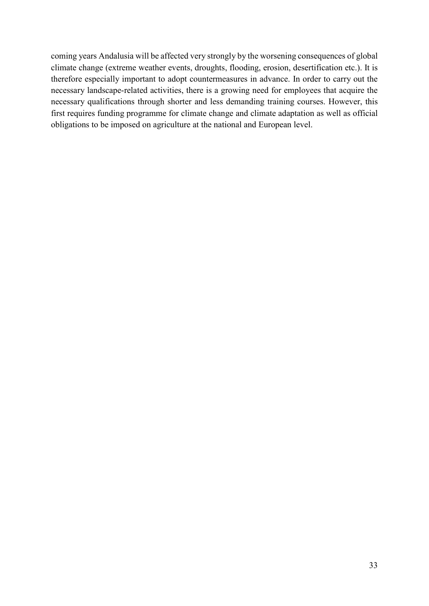coming years Andalusia will be affected very strongly by the worsening consequences of global climate change (extreme weather events, droughts, flooding, erosion, desertification etc.). It is therefore especially important to adopt countermeasures in advance. In order to carry out the necessary landscape-related activities, there is a growing need for employees that acquire the necessary qualifications through shorter and less demanding training courses. However, this first requires funding programme for climate change and climate adaptation as well as official obligations to be imposed on agriculture at the national and European level.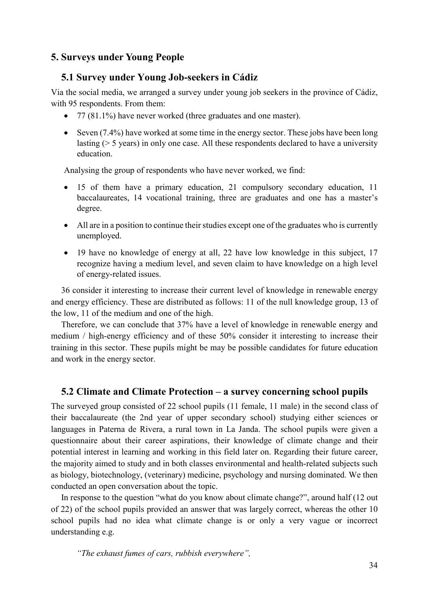## <span id="page-33-0"></span>**5. Surveys under Young People**

## <span id="page-33-1"></span>**5.1 Survey under Young Job-seekers in Cádiz**

Via the social media, we arranged a survey under young job seekers in the province of Cádiz, with 95 respondents. From them:

- 77 (81.1%) have never worked (three graduates and one master).
- Seven (7.4%) have worked at some time in the energy sector. These jobs have been long lasting (> 5 years) in only one case. All these respondents declared to have a university education.

Analysing the group of respondents who have never worked, we find:

- 15 of them have a primary education, 21 compulsory secondary education, 11 baccalaureates, 14 vocational training, three are graduates and one has a master's degree.
- All are in a position to continue their studies except one of the graduates who is currently unemployed.
- 19 have no knowledge of energy at all, 22 have low knowledge in this subject, 17 recognize having a medium level, and seven claim to have knowledge on a high level of energy-related issues.

36 consider it interesting to increase their current level of knowledge in renewable energy and energy efficiency. These are distributed as follows: 11 of the null knowledge group, 13 of the low, 11 of the medium and one of the high.

Therefore, we can conclude that 37% have a level of knowledge in renewable energy and medium / high-energy efficiency and of these 50% consider it interesting to increase their training in this sector. These pupils might be may be possible candidates for future education and work in the energy sector.

## <span id="page-33-2"></span>**5.2 Climate and Climate Protection – a survey concerning school pupils**

The surveyed group consisted of 22 school pupils (11 female, 11 male) in the second class of their baccalaureate (the 2nd year of upper secondary school) studying either sciences or languages in Paterna de Rivera, a rural town in La Janda. The school pupils were given a questionnaire about their career aspirations, their knowledge of climate change and their potential interest in learning and working in this field later on. Regarding their future career, the majority aimed to study and in both classes environmental and health-related subjects such as biology, biotechnology, (veterinary) medicine, psychology and nursing dominated. We then conducted an open conversation about the topic.

In response to the question "what do you know about climate change?", around half (12 out of 22) of the school pupils provided an answer that was largely correct, whereas the other 10 school pupils had no idea what climate change is or only a very vague or incorrect understanding e.g.

*"The exhaust fumes of cars, rubbish everywhere",*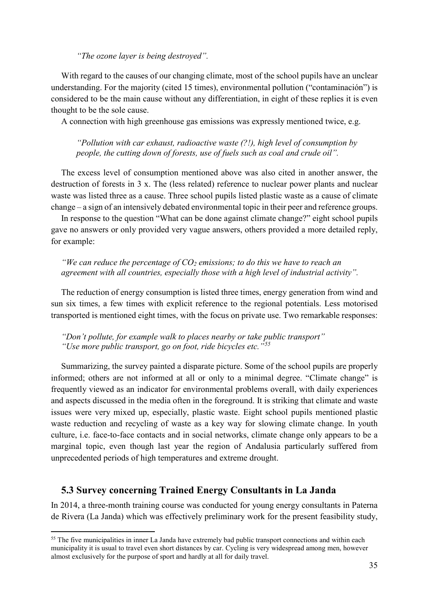*"The ozone layer is being destroyed".*

With regard to the causes of our changing climate, most of the school pupils have an unclear understanding. For the majority (cited 15 times), environmental pollution ("contaminación") is considered to be the main cause without any differentiation, in eight of these replies it is even thought to be the sole cause.

A connection with high greenhouse gas emissions was expressly mentioned twice, e.g.

*"Pollution with car exhaust, radioactive waste (?!), high level of consumption by people, the cutting down of forests, use of fuels such as coal and crude oil".*

The excess level of consumption mentioned above was also cited in another answer, the destruction of forests in 3 x. The (less related) reference to nuclear power plants and nuclear waste was listed three as a cause. Three school pupils listed plastic waste as a cause of climate change – a sign of an intensively debated environmental topic in their peer and reference groups.

In response to the question "What can be done against climate change?" eight school pupils gave no answers or only provided very vague answers, others provided a more detailed reply, for example:

*"We can reduce the percentage of CO2 emissions; to do this we have to reach an agreement with all countries, especially those with a high level of industrial activity".*

The reduction of energy consumption is listed three times, energy generation from wind and sun six times, a few times with explicit reference to the regional potentials. Less motorised transported is mentioned eight times, with the focus on private use. Two remarkable responses:

*"Don't pollute, for example walk to places nearby or take public transport" "Use more public transport, go on foot, ride bicycles etc."[55](#page-34-1)*

Summarizing, the survey painted a disparate picture. Some of the school pupils are properly informed; others are not informed at all or only to a minimal degree. "Climate change" is frequently viewed as an indicator for environmental problems overall, with daily experiences and aspects discussed in the media often in the foreground. It is striking that climate and waste issues were very mixed up, especially, plastic waste. Eight school pupils mentioned plastic waste reduction and recycling of waste as a key way for slowing climate change. In youth culture, i.e. face-to-face contacts and in social networks, climate change only appears to be a marginal topic, even though last year the region of Andalusia particularly suffered from unprecedented periods of high temperatures and extreme drought.

#### <span id="page-34-0"></span>**5.3 Survey concerning Trained Energy Consultants in La Janda**

In 2014, a three-month training course was conducted for young energy consultants in Paterna de Rivera (La Janda) which was effectively preliminary work for the present feasibility study,

<span id="page-34-1"></span><sup>&</sup>lt;sup>55</sup> The five municipalities in inner La Janda have extremely bad public transport connections and within each municipality it is usual to travel even short distances by car. Cycling is very widespread among men, however almost exclusively for the purpose of sport and hardly at all for daily travel.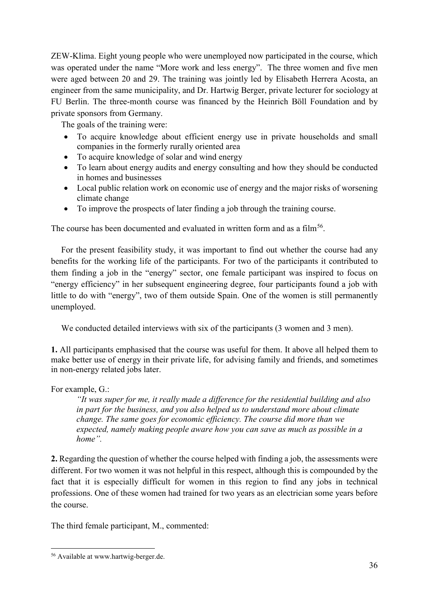ZEW-Klima. Eight young people who were unemployed now participated in the course, which was operated under the name "More work and less energy". The three women and five men were aged between 20 and 29. The training was jointly led by Elisabeth Herrera Acosta, an engineer from the same municipality, and Dr. Hartwig Berger, private lecturer for sociology at FU Berlin. The three-month course was financed by the Heinrich Böll Foundation and by private sponsors from Germany.

The goals of the training were:

- To acquire knowledge about efficient energy use in private households and small companies in the formerly rurally oriented area
- To acquire knowledge of solar and wind energy
- To learn about energy audits and energy consulting and how they should be conducted in homes and businesses
- Local public relation work on economic use of energy and the major risks of worsening climate change
- To improve the prospects of later finding a job through the training course.

The course has been documented and evaluated in written form and as a film<sup>[56](#page-35-0)</sup>.

For the present feasibility study, it was important to find out whether the course had any benefits for the working life of the participants. For two of the participants it contributed to them finding a job in the "energy" sector, one female participant was inspired to focus on "energy efficiency" in her subsequent engineering degree, four participants found a job with little to do with "energy", two of them outside Spain. One of the women is still permanently unemployed.

We conducted detailed interviews with six of the participants (3 women and 3 men).

**1.** All participants emphasised that the course was useful for them. It above all helped them to make better use of energy in their private life, for advising family and friends, and sometimes in non-energy related jobs later.

For example, G.:

*"It was super for me, it really made a difference for the residential building and also in part for the business, and you also helped us to understand more about climate change. The same goes for economic efficiency. The course did more than we expected, namely making people aware how you can save as much as possible in a home".*

**2.** Regarding the question of whether the course helped with finding a job, the assessments were different. For two women it was not helpful in this respect, although this is compounded by the fact that it is especially difficult for women in this region to find any jobs in technical professions. One of these women had trained for two years as an electrician some years before the course.

The third female participant, M., commented:

<span id="page-35-0"></span> <sup>56</sup> Available at www.hartwig-berger.de.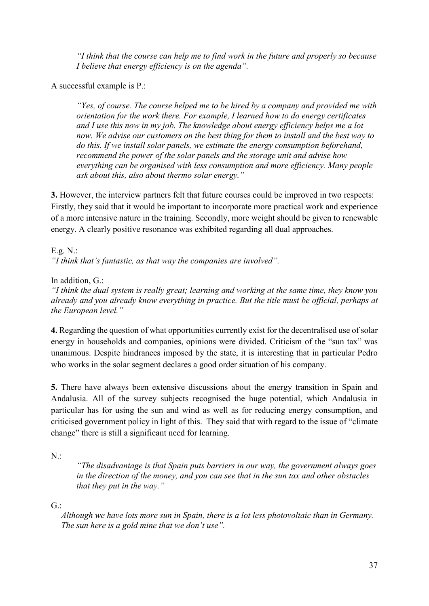*"I think that the course can help me to find work in the future and properly so because I believe that energy efficiency is on the agenda".*

A successful example is P.:

*"Yes, of course. The course helped me to be hired by a company and provided me with orientation for the work there. For example, I learned how to do energy certificates and I use this now in my job. The knowledge about energy efficiency helps me a lot now. We advise our customers on the best thing for them to install and the best way to do this. If we install solar panels, we estimate the energy consumption beforehand, recommend the power of the solar panels and the storage unit and advise how everything can be organised with less consumption and more efficiency. Many people ask about this, also about thermo solar energy."*

**3.** However, the interview partners felt that future courses could be improved in two respects: Firstly, they said that it would be important to incorporate more practical work and experience of a more intensive nature in the training. Secondly, more weight should be given to renewable energy. A clearly positive resonance was exhibited regarding all dual approaches.

E.g. N.: *"I think that's fantastic, as that way the companies are involved".*

In addition, G.:

*"I think the dual system is really great; learning and working at the same time, they know you already and you already know everything in practice. But the title must be official, perhaps at the European level."*

**4.** Regarding the question of what opportunities currently exist for the decentralised use of solar energy in households and companies, opinions were divided. Criticism of the "sun tax" was unanimous. Despite hindrances imposed by the state, it is interesting that in particular Pedro who works in the solar segment declares a good order situation of his company.

**5.** There have always been extensive discussions about the energy transition in Spain and Andalusia. All of the survey subjects recognised the huge potential, which Andalusia in particular has for using the sun and wind as well as for reducing energy consumption, and criticised government policy in light of this. They said that with regard to the issue of "climate change" there is still a significant need for learning.

 $N$ :

*"The disadvantage is that Spain puts barriers in our way, the government always goes in the direction of the money, and you can see that in the sun tax and other obstacles that they put in the way."*

 $G$ :

*Although we have lots more sun in Spain, there is a lot less photovoltaic than in Germany. The sun here is a gold mine that we don't use".*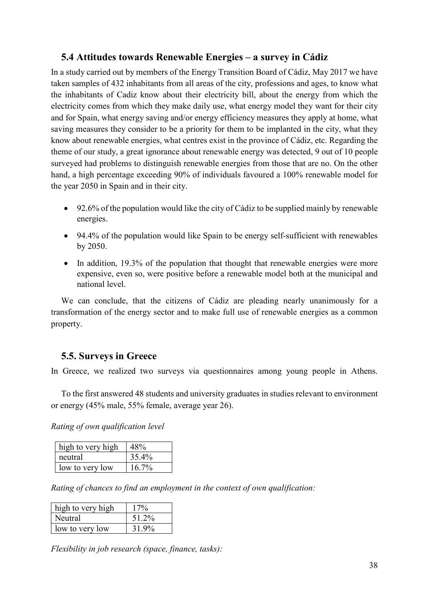## <span id="page-37-0"></span>**5.4 Attitudes towards Renewable Energies – a survey in Cádiz**

In a study carried out by members of the Energy Transition Board of Cádiz, May 2017 we have taken samples of 432 inhabitants from all areas of the city, professions and ages, to know what the inhabitants of Cadiz know about their electricity bill, about the energy from which the electricity comes from which they make daily use, what energy model they want for their city and for Spain, what energy saving and/or energy efficiency measures they apply at home, what saving measures they consider to be a priority for them to be implanted in the city, what they know about renewable energies, what centres exist in the province of Cádiz, etc. Regarding the theme of our study, a great ignorance about renewable energy was detected, 9 out of 10 people surveyed had problems to distinguish renewable energies from those that are no. On the other hand, a high percentage exceeding 90% of individuals favoured a 100% renewable model for the year 2050 in Spain and in their city.

- 92.6% of the population would like the city of Cádiz to be supplied mainly by renewable energies.
- 94.4% of the population would like Spain to be energy self-sufficient with renewables by 2050.
- In addition, 19.3% of the population that thought that renewable energies were more expensive, even so, were positive before a renewable model both at the municipal and national level.

We can conclude, that the citizens of Cádiz are pleading nearly unanimously for a transformation of the energy sector and to make full use of renewable energies as a common property.

## <span id="page-37-1"></span>**5.5. Surveys in Greece**

In Greece, we realized two surveys via questionnaires among young people in Athens.

To the first answered 48 students and university graduates in studies relevant to environment or energy (45% male, 55% female, average year 26).

*Rating of own qualification level* 

| high to very high |          |
|-------------------|----------|
| neutral           | 35.4%    |
| low to very low   | $16.7\%$ |

*Rating of chances to find an employment in the context of own qualification:*

| high to very high | 17%   |
|-------------------|-------|
| Neutral           | 51.2% |
| low to very low   | 31.9% |

*Flexibility in job research (space, finance, tasks):*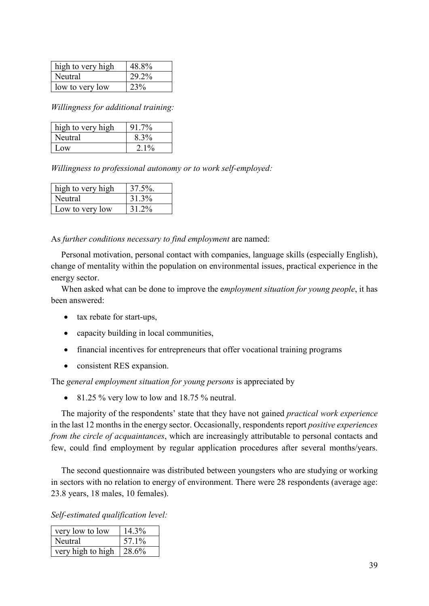| high to very high | 48.8% |
|-------------------|-------|
| Neutral           | 29.2% |
| low to very low   | 23%   |

*Willingness for additional training:*

| high to very high | 91.7%   |
|-------------------|---------|
| Neutral           | 8.3%    |
| Low               | $2.1\%$ |

*Willingness to professional autonomy or to work self-employed:*

| high to very high | $37.5\%$ . |
|-------------------|------------|
| Neutral           | 31.3%      |
| Low to very low   | 31 2%      |

As *further conditions necessary to find employment* are named:

Personal motivation, personal contact with companies, language skills (especially English), change of mentality within the population on environmental issues, practical experience in the energy sector.

When asked what can be done to improve the e*mployment situation for young people*, it has been answered:

- tax rebate for start-ups,
- capacity building in local communities,
- financial incentives for entrepreneurs that offer vocational training programs
- consistent RES expansion.

The *general employment situation for young persons* is appreciated by

• 81.25  $\%$  very low to low and 18.75  $\%$  neutral.

The majority of the respondents' state that they have not gained *practical work experience* in the last 12 months in the energy sector. Occasionally, respondents report *positive experiences from the circle of acquaintances*, which are increasingly attributable to personal contacts and few, could find employment by regular application procedures after several months/years.

The second questionnaire was distributed between youngsters who are studying or working in sectors with no relation to energy of environment. There were 28 respondents (average age: 23.8 years, 18 males, 10 females).

*Self-estimated qualification level:*

| very low to low   | 14.3% |
|-------------------|-------|
| Neutral           | 57.1% |
| very high to high | 28.6% |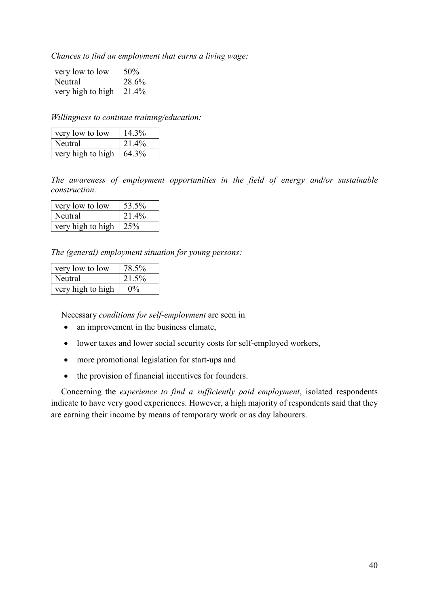*Chances to find an employment that earns a living wage:*

| very low to low   | 50%   |
|-------------------|-------|
| Neutral           | 28.6% |
| very high to high | 21.4% |

*Willingness to continue training/education:*

| very low to low   | 14.3% |
|-------------------|-------|
| Neutral           | 21.4% |
| very high to high | 64.3% |

*The awareness of employment opportunities in the field of energy and/or sustainable construction:*

| very low to low   | 53.5% |
|-------------------|-------|
| Neutral           | 21.4% |
| very high to high | 25%   |

*The (general) employment situation for young persons:*

| very low to low   | 78.5% |
|-------------------|-------|
| Neutral           | 21.5% |
| very high to high |       |

Necessary *conditions for self-employment* are seen in

- an improvement in the business climate.
- lower taxes and lower social security costs for self-employed workers,
- more promotional legislation for start-ups and
- the provision of financial incentives for founders.

Concerning the *experience to find a sufficiently paid employment*, isolated respondents indicate to have very good experiences. However, a high majority of respondents said that they are earning their income by means of temporary work or as day labourers.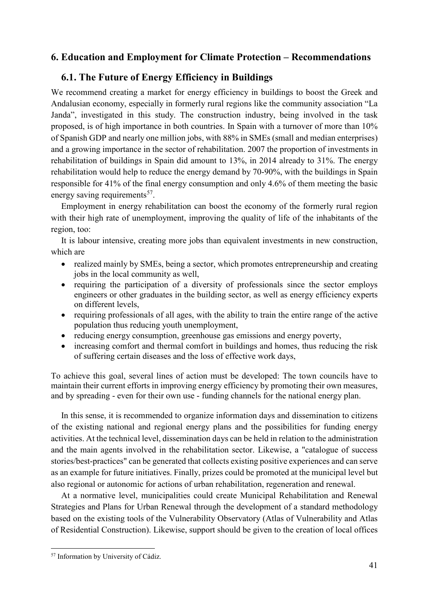## <span id="page-40-0"></span>**6. Education and Employment for Climate Protection – Recommendations**

## <span id="page-40-1"></span>**6.1. The Future of Energy Efficiency in Buildings**

We recommend creating a market for energy efficiency in buildings to boost the Greek and Andalusian economy, especially in formerly rural regions like the community association "La Janda", investigated in this study. The construction industry, being involved in the task proposed, is of high importance in both countries. In Spain with a turnover of more than 10% of Spanish GDP and nearly one million jobs, with 88% in SMEs (small and median enterprises) and a growing importance in the sector of rehabilitation. 2007 the proportion of investments in rehabilitation of buildings in Spain did amount to 13%, in 2014 already to 31%. The energy rehabilitation would help to reduce the energy demand by 70-90%, with the buildings in Spain responsible for 41% of the final energy consumption and only 4.6% of them meeting the basic energy saving requirements<sup>[57](#page-40-2)</sup>.

Employment in energy rehabilitation can boost the economy of the formerly rural region with their high rate of unemployment, improving the quality of life of the inhabitants of the region, too:

It is labour intensive, creating more jobs than equivalent investments in new construction, which are

- realized mainly by SMEs, being a sector, which promotes entrepreneurship and creating jobs in the local community as well,
- requiring the participation of a diversity of professionals since the sector employs engineers or other graduates in the building sector, as well as energy efficiency experts on different levels,
- requiring professionals of all ages, with the ability to train the entire range of the active population thus reducing youth unemployment,
- reducing energy consumption, greenhouse gas emissions and energy poverty,
- increasing comfort and thermal comfort in buildings and homes, thus reducing the risk of suffering certain diseases and the loss of effective work days,

To achieve this goal, several lines of action must be developed: The town councils have to maintain their current efforts in improving energy efficiency by promoting their own measures, and by spreading - even for their own use - funding channels for the national energy plan.

In this sense, it is recommended to organize information days and dissemination to citizens of the existing national and regional energy plans and the possibilities for funding energy activities. At the technical level, dissemination days can be held in relation to the administration and the main agents involved in the rehabilitation sector. Likewise, a "catalogue of success stories/best-practices" can be generated that collects existing positive experiences and can serve as an example for future initiatives. Finally, prizes could be promoted at the municipal level but also regional or autonomic for actions of urban rehabilitation, regeneration and renewal.

At a normative level, municipalities could create Municipal Rehabilitation and Renewal Strategies and Plans for Urban Renewal through the development of a standard methodology based on the existing tools of the Vulnerability Observatory (Atlas of Vulnerability and Atlas of Residential Construction). Likewise, support should be given to the creation of local offices

<span id="page-40-2"></span> <sup>57</sup> Information by University of Cádiz.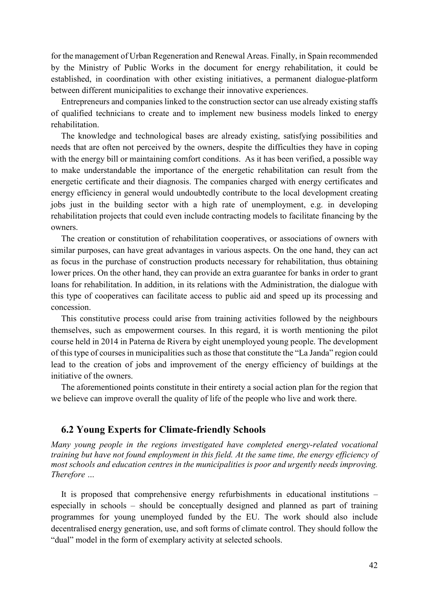for the management of Urban Regeneration and Renewal Areas. Finally, in Spain recommended by the Ministry of Public Works in the document for energy rehabilitation, it could be established, in coordination with other existing initiatives, a permanent dialogue-platform between different municipalities to exchange their innovative experiences.

Entrepreneurs and companies linked to the construction sector can use already existing staffs of qualified technicians to create and to implement new business models linked to energy rehabilitation.

The knowledge and technological bases are already existing, satisfying possibilities and needs that are often not perceived by the owners, despite the difficulties they have in coping with the energy bill or maintaining comfort conditions. As it has been verified, a possible way to make understandable the importance of the energetic rehabilitation can result from the energetic certificate and their diagnosis. The companies charged with energy certificates and energy efficiency in general would undoubtedly contribute to the local development creating jobs just in the building sector with a high rate of unemployment, e.g. in developing rehabilitation projects that could even include contracting models to facilitate financing by the owners.

The creation or constitution of rehabilitation cooperatives, or associations of owners with similar purposes, can have great advantages in various aspects. On the one hand, they can act as focus in the purchase of construction products necessary for rehabilitation, thus obtaining lower prices. On the other hand, they can provide an extra guarantee for banks in order to grant loans for rehabilitation. In addition, in its relations with the Administration, the dialogue with this type of cooperatives can facilitate access to public aid and speed up its processing and concession.

This constitutive process could arise from training activities followed by the neighbours themselves, such as empowerment courses. In this regard, it is worth mentioning the pilot course held in 2014 in Paterna de Rivera by eight unemployed young people. The development of this type of courses in municipalities such as those that constitute the "La Janda" region could lead to the creation of jobs and improvement of the energy efficiency of buildings at the initiative of the owners.

The aforementioned points constitute in their entirety a social action plan for the region that we believe can improve overall the quality of life of the people who live and work there.

## <span id="page-41-0"></span>**6.2 Young Experts for Climate-friendly Schools**

*Many young people in the regions investigated have completed energy-related vocational training but have not found employment in this field. At the same time, the energy efficiency of most schools and education centres in the municipalities is poor and urgently needs improving. Therefore …*

It is proposed that comprehensive energy refurbishments in educational institutions – especially in schools – should be conceptually designed and planned as part of training programmes for young unemployed funded by the EU. The work should also include decentralised energy generation, use, and soft forms of climate control. They should follow the "dual" model in the form of exemplary activity at selected schools.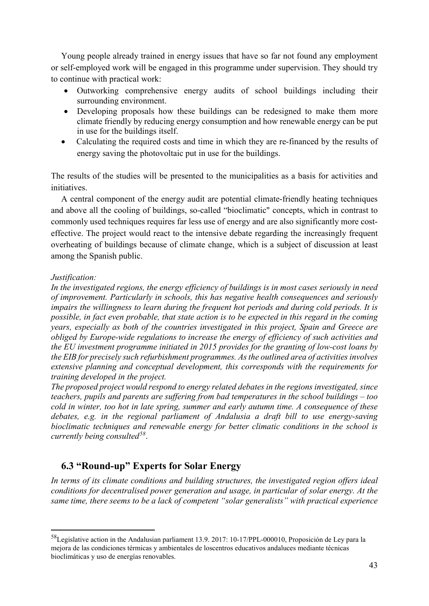Young people already trained in energy issues that have so far not found any employment or self-employed work will be engaged in this programme under supervision. They should try to continue with practical work:

- Outworking comprehensive energy audits of school buildings including their surrounding environment.
- Developing proposals how these buildings can be redesigned to make them more climate friendly by reducing energy consumption and how renewable energy can be put in use for the buildings itself.
- Calculating the required costs and time in which they are re-financed by the results of energy saving the photovoltaic put in use for the buildings.

The results of the studies will be presented to the municipalities as a basis for activities and initiatives.

A central component of the energy audit are potential climate-friendly heating techniques and above all the cooling of buildings, so-called "bioclimatic" concepts, which in contrast to commonly used techniques requires far less use of energy and are also significantly more costeffective. The project would react to the intensive debate regarding the increasingly frequent overheating of buildings because of climate change, which is a subject of discussion at least among the Spanish public.

#### *Justification:*

*In the investigated regions, the energy efficiency of buildings is in most cases seriously in need of improvement. Particularly in schools, this has negative health consequences and seriously impairs the willingness to learn during the frequent hot periods and during cold periods. It is possible, in fact even probable, that state action is to be expected in this regard in the coming years, especially as both of the countries investigated in this project, Spain and Greece are obliged by Europe-wide regulations to increase the energy of efficiency of such activities and the EU investment programme initiated in 2015 provides for the granting of low-cost loans by the EIB for precisely such refurbishment programmes. As the outlined area of activities involves extensive planning and conceptual development, this corresponds with the requirements for training developed in the project.*

*The proposed project would respond to energy related debates in the regions investigated, since teachers, pupils and parents are suffering from bad temperatures in the school buildings – too cold in winter, too hot in late spring, summer and early autumn time. A consequence of these debates, e.g. in the regional parliament of Andalusia a draft bill to use energy-saving bioclimatic techniques and renewable energy for better climatic conditions in the school is currently being consulted[58](#page-42-1)*.

# <span id="page-42-0"></span>**6.3 "Round-up" Experts for Solar Energy**

*In terms of its climate conditions and building structures, the investigated region offers ideal conditions for decentralised power generation and usage, in particular of solar energy. At the same time, there seems to be a lack of competent "solar generalists" with practical experience* 

<span id="page-42-1"></span> <sup>58</sup>Legislative action in the Andalusian parliament 13.9. 2017: 10-17/PPL-000010, Proposición de Ley para la mejora de las condiciones térmicas y ambientales de loscentros educativos andaluces mediante técnicas bioclimáticas y uso de energías renovables.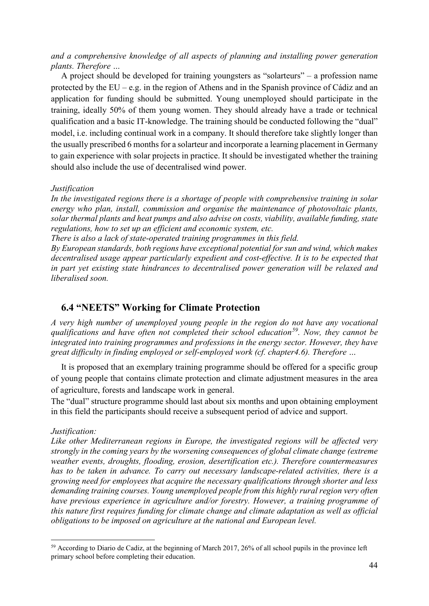*and a comprehensive knowledge of all aspects of planning and installing power generation plants. Therefore …*

A project should be developed for training youngsters as "solarteurs" – a profession name protected by the EU – e.g. in the region of Athens and in the Spanish province of Cádiz and an application for funding should be submitted. Young unemployed should participate in the training, ideally 50% of them young women. They should already have a trade or technical qualification and a basic IT-knowledge. The training should be conducted following the "dual" model, i.e. including continual work in a company. It should therefore take slightly longer than the usually prescribed 6 months for a solarteur and incorporate a learning placement in Germany to gain experience with solar projects in practice. It should be investigated whether the training should also include the use of decentralised wind power.

#### *Justification*

*In the investigated regions there is a shortage of people with comprehensive training in solar energy who plan, install, commission and organise the maintenance of photovoltaic plants, solar thermal plants and heat pumps and also advise on costs, viability, available funding, state regulations, how to set up an efficient and economic system, etc.* 

*There is also a lack of state-operated training programmes in this field.*

*By European standards, both regions have exceptional potential for sun and wind, which makes decentralised usage appear particularly expedient and cost-effective. It is to be expected that in part yet existing state hindrances to decentralised power generation will be relaxed and liberalised soon.*

#### <span id="page-43-0"></span>**6.4 "NEETS" Working for Climate Protection**

*A very high number of unemployed young people in the region do not have any vocational qualifications and have often not completed their school education[59.](#page-43-1) Now, they cannot be integrated into training programmes and professions in the energy sector. However, they have great difficulty in finding employed or self-employed work (cf. chapter4.6). Therefore …*

It is proposed that an exemplary training programme should be offered for a specific group of young people that contains climate protection and climate adjustment measures in the area of agriculture, forests and landscape work in general.

The "dual" structure programme should last about six months and upon obtaining employment in this field the participants should receive a subsequent period of advice and support.

#### *Justification:*

*Like other Mediterranean regions in Europe, the investigated regions will be affected very strongly in the coming years by the worsening consequences of global climate change (extreme weather events, droughts, flooding, erosion, desertification etc.). Therefore countermeasures has to be taken in advance. To carry out necessary landscape-related activities, there is a growing need for employees that acquire the necessary qualifications through shorter and less demanding training courses. Young unemployed people from this highly rural region very often have previous experience in agriculture and/or forestry. However, a training programme of this nature first requires funding for climate change and climate adaptation as well as official obligations to be imposed on agriculture at the national and European level.* 

<span id="page-43-1"></span> <sup>59</sup> According to Diario de Cadiz, at the beginning of March 2017, 26% of all school pupils in the province left primary school before completing their education.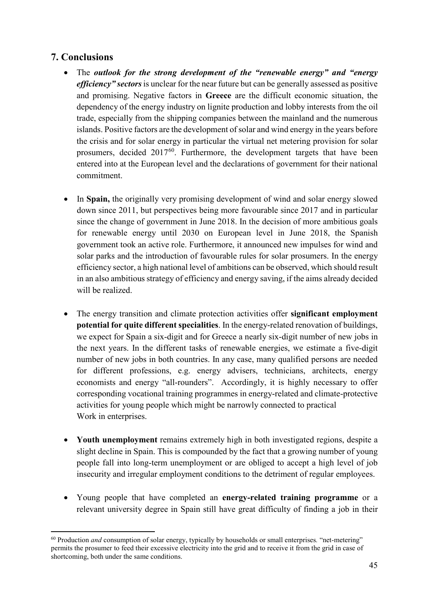# <span id="page-44-0"></span>**7. Conclusions**

- The *outlook for the strong development of the "renewable energy" and "energy efficiency" sectors* is unclear for the near future but can be generally assessed as positive and promising. Negative factors in **Greece** are the difficult economic situation, the dependency of the energy industry on lignite production and lobby interests from the oil trade, especially from the shipping companies between the mainland and the numerous islands. Positive factors are the development of solar and wind energy in the years before the crisis and for solar energy in particular the virtual net metering provision for solar prosumers, decided  $2017^{60}$  $2017^{60}$  $2017^{60}$ . Furthermore, the development targets that have been entered into at the European level and the declarations of government for their national commitment.
- In **Spain,** the originally very promising development of wind and solar energy slowed down since 2011, but perspectives being more favourable since 2017 and in particular since the change of government in June 2018. In the decision of more ambitious goals for renewable energy until 2030 on European level in June 2018, the Spanish government took an active role. Furthermore, it announced new impulses for wind and solar parks and the introduction of favourable rules for solar prosumers. In the energy efficiency sector, a high national level of ambitions can be observed, which should result in an also ambitious strategy of efficiency and energy saving, if the aims already decided will be realized.
- The energy transition and climate protection activities offer **significant employment potential for quite different specialities**. In the energy-related renovation of buildings, we expect for Spain a six-digit and for Greece a nearly six-digit number of new jobs in the next years. In the different tasks of renewable energies, we estimate a five-digit number of new jobs in both countries. In any case, many qualified persons are needed for different professions, e.g. energy advisers, technicians, architects, energy economists and energy "all-rounders". Accordingly, it is highly necessary to offer corresponding vocational training programmes in energy-related and climate-protective activities for young people which might be narrowly connected to practical Work in enterprises.
- **Youth unemployment** remains extremely high in both investigated regions, despite a slight decline in Spain. This is compounded by the fact that a growing number of young people fall into long-term unemployment or are obliged to accept a high level of job insecurity and irregular employment conditions to the detriment of regular employees.
- Young people that have completed an **energy-related training programme** or a relevant university degree in Spain still have great difficulty of finding a job in their

<span id="page-44-1"></span> <sup>60</sup> Production *and* consumption of solar energy, typically by households or small enterprises*.* "net-metering" permits the prosumer to feed their excessive electricity into the grid and to receive it from the grid in case of shortcoming, both under the same conditions.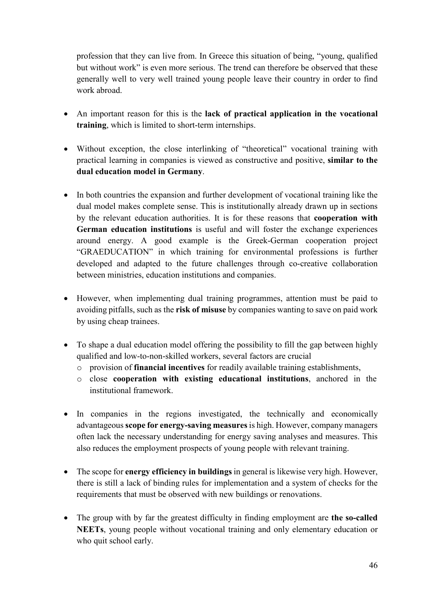profession that they can live from. In Greece this situation of being, "young, qualified but without work" is even more serious. The trend can therefore be observed that these generally well to very well trained young people leave their country in order to find work abroad.

- An important reason for this is the **lack of practical application in the vocational training**, which is limited to short-term internships.
- Without exception, the close interlinking of "theoretical" vocational training with practical learning in companies is viewed as constructive and positive, **similar to the dual education model in Germany**.
- In both countries the expansion and further development of vocational training like the dual model makes complete sense. This is institutionally already drawn up in sections by the relevant education authorities. It is for these reasons that **cooperation with German education institutions** is useful and will foster the exchange experiences around energy. A good example is the Greek-German cooperation project "GRAEDUCATION" in which training for environmental professions is further developed and adapted to the future challenges through co-creative collaboration between ministries, education institutions and companies.
- However, when implementing dual training programmes, attention must be paid to avoiding pitfalls, such as the **risk of misuse** by companies wanting to save on paid work by using cheap trainees.
- To shape a dual education model offering the possibility to fill the gap between highly qualified and low-to-non-skilled workers, several factors are crucial
	- o provision of **financial incentives** for readily available training establishments,
	- o close **cooperation with existing educational institutions**, anchored in the institutional framework.
- In companies in the regions investigated, the technically and economically advantageous **scope for energy-saving measures**is high. However, company managers often lack the necessary understanding for energy saving analyses and measures. This also reduces the employment prospects of young people with relevant training.
- The scope for **energy efficiency in buildings** in general is likewise very high. However, there is still a lack of binding rules for implementation and a system of checks for the requirements that must be observed with new buildings or renovations.
- The group with by far the greatest difficulty in finding employment are **the so-called NEETs**, young people without vocational training and only elementary education or who quit school early.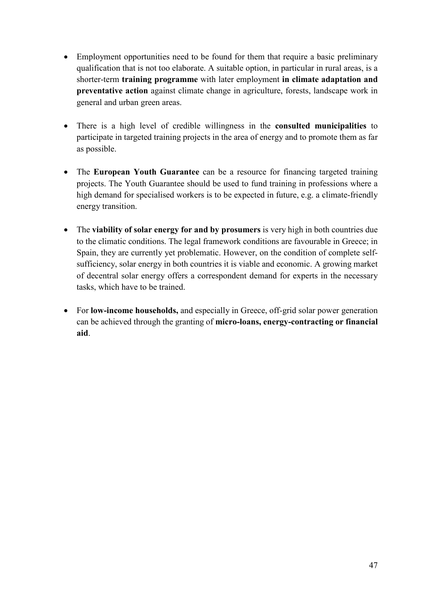- Employment opportunities need to be found for them that require a basic preliminary qualification that is not too elaborate. A suitable option, in particular in rural areas, is a shorter-term **training programme** with later employment **in climate adaptation and preventative action** against climate change in agriculture, forests, landscape work in general and urban green areas.
- There is a high level of credible willingness in the **consulted municipalities** to participate in targeted training projects in the area of energy and to promote them as far as possible.
- The **European Youth Guarantee** can be a resource for financing targeted training projects. The Youth Guarantee should be used to fund training in professions where a high demand for specialised workers is to be expected in future, e.g. a climate-friendly energy transition.
- The **viability of solar energy for and by prosumers** is very high in both countries due to the climatic conditions. The legal framework conditions are favourable in Greece; in Spain, they are currently yet problematic. However, on the condition of complete selfsufficiency, solar energy in both countries it is viable and economic. A growing market of decentral solar energy offers a correspondent demand for experts in the necessary tasks, which have to be trained.
- For **low-income households,** and especially in Greece, off-grid solar power generation can be achieved through the granting of **micro-loans, energy-contracting or financial aid**.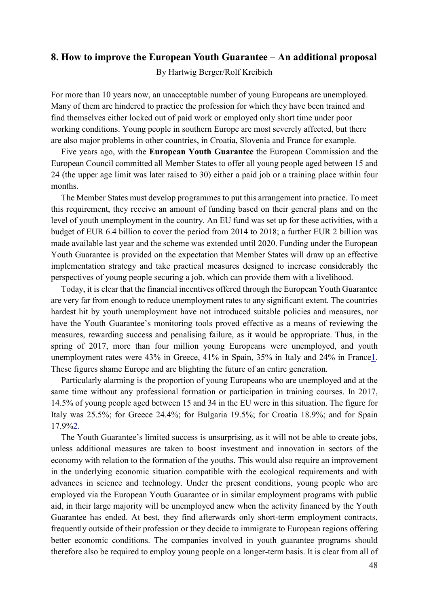#### <span id="page-47-0"></span>**8. How to improve the European Youth Guarantee – An additional proposal**

By Hartwig Berger/Rolf Kreibich

For more than 10 years now, an unacceptable number of young Europeans are unemployed. Many of them are hindered to practice the profession for which they have been trained and find themselves either locked out of paid work or employed only short time under poor working conditions. Young people in southern Europe are most severely affected, but there are also major problems in other countries, in Croatia, Slovenia and France for example.

Five years ago, with the **European Youth Guarantee** the European Commission and the European Council committed all Member States to offer all young people aged between 15 and 24 (the upper age limit was later raised to 30) either a paid job or a training place within four months.

The Member States must develop programmes to put this arrangement into practice. To meet this requirement, they receive an amount of funding based on their general plans and on the level of youth unemployment in the country. An EU fund was set up for these activities, with a budget of EUR 6.4 billion to cover the period from 2014 to 2018; a further EUR 2 billion was made available last year and the scheme was extended until 2020. Funding under the European Youth Guarantee is provided on the expectation that Member States will draw up an effective implementation strategy and take practical measures designed to increase considerably the perspectives of young people securing a job, which can provide them with a livelihood.

Today, it is clear that the financial incentives offered through the European Youth Guarantee are very far from enough to reduce unemployment rates to any significant extent. The countries hardest hit by youth unemployment have not introduced suitable policies and measures, nor have the Youth Guarantee's monitoring tools proved effective as a means of reviewing the measures, rewarding success and penalising failure, as it would be appropriate. Thus, in the spring of 2017, more than four million young Europeans were unemployed, and youth unemployment rates were 43% in Greece, 41% in Spain, 35% in Italy and 24% in France1. These figures shame Europe and are blighting the future of an entire generation.

Particularly alarming is the proportion of young Europeans who are unemployed and at the same time without any professional formation or participation in training courses. In 2017, 14.5% of young people aged between 15 and 34 in the EU were in this situation. The figure for Italy was 25.5%; for Greece 24.4%; for Bulgaria 19.5%; for Croatia 18.9%; and for Spain 17.9%2.

The Youth Guarantee's limited success is unsurprising, as it will not be able to create jobs, unless additional measures are taken to boost investment and innovation in sectors of the economy with relation to the formation of the youths. This would also require an improvement in the underlying economic situation compatible with the ecological requirements and with advances in science and technology. Under the present conditions, young people who are employed via the European Youth Guarantee or in similar employment programs with public aid, in their large majority will be unemployed anew when the activity financed by the Youth Guarantee has ended. At best, they find afterwards only short-term employment contracts, frequently outside of their profession or they decide to immigrate to European regions offering better economic conditions. The companies involved in youth guarantee programs should therefore also be required to employ young people on a longer-term basis. It is clear from all of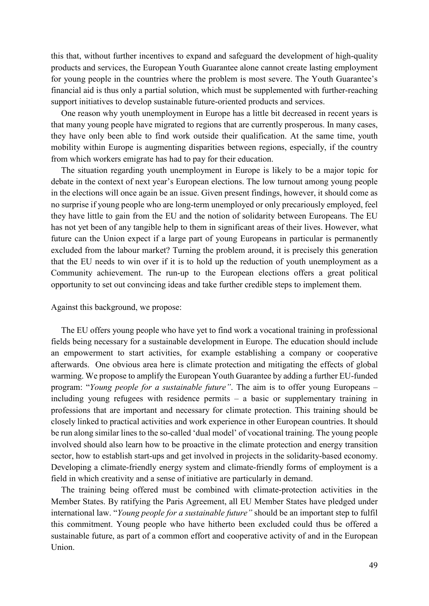this that, without further incentives to expand and safeguard the development of high-quality products and services, the European Youth Guarantee alone cannot create lasting employment for young people in the countries where the problem is most severe. The Youth Guarantee's financial aid is thus only a partial solution, which must be supplemented with further-reaching support initiatives to develop sustainable future-oriented products and services.

One reason why youth unemployment in Europe has a little bit decreased in recent years is that many young people have migrated to regions that are currently prosperous. In many cases, they have only been able to find work outside their qualification. At the same time, youth mobility within Europe is augmenting disparities between regions, especially, if the country from which workers emigrate has had to pay for their education.

The situation regarding youth unemployment in Europe is likely to be a major topic for debate in the context of next year's European elections. The low turnout among young people in the elections will once again be an issue. Given present findings, however, it should come as no surprise if young people who are long-term unemployed or only precariously employed, feel they have little to gain from the EU and the notion of solidarity between Europeans. The EU has not yet been of any tangible help to them in significant areas of their lives. However, what future can the Union expect if a large part of young Europeans in particular is permanently excluded from the labour market? Turning the problem around, it is precisely this generation that the EU needs to win over if it is to hold up the reduction of youth unemployment as a Community achievement. The run-up to the European elections offers a great political opportunity to set out convincing ideas and take further credible steps to implement them.

Against this background, we propose:

The EU offers young people who have yet to find work a vocational training in professional fields being necessary for a sustainable development in Europe. The education should include an empowerment to start activities, for example establishing a company or cooperative afterwards. One obvious area here is climate protection and mitigating the effects of global warming. We propose to amplify the European Youth Guarantee by adding a further EU-funded program: "*Young people for a sustainable future"*. The aim is to offer young Europeans – including young refugees with residence permits – a basic or supplementary training in professions that are important and necessary for climate protection. This training should be closely linked to practical activities and work experience in other European countries. It should be run along similar lines to the so-called 'dual model' of vocational training. The young people involved should also learn how to be proactive in the climate protection and energy transition sector, how to establish start-ups and get involved in projects in the solidarity-based economy. Developing a climate-friendly energy system and climate-friendly forms of employment is a field in which creativity and a sense of initiative are particularly in demand.

The training being offered must be combined with climate-protection activities in the Member States. By ratifying the Paris Agreement, all EU Member States have pledged under international law. "*Young people for a sustainable future"* should be an important step to fulfil this commitment. Young people who have hitherto been excluded could thus be offered a sustainable future, as part of a common effort and cooperative activity of and in the European Union.